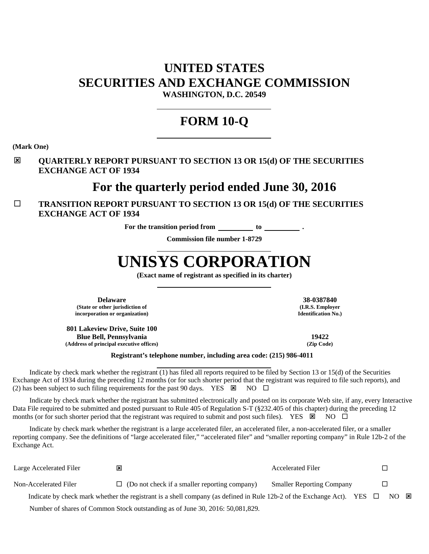# **UNITED STATES SECURITIES AND EXCHANGE COMMISSION WASHINGTON, D.C. 20549**

# **FORM 10-Q**

**(Mark One)** Ĭ

 **QUARTERLY REPORT PURSUANT TO SECTION 13 OR 15(d) OF THE SECURITIES EXCHANGE ACT OF 1934**

# **For the quarterly period ended June 30, 2016**

# **TRANSITION REPORT PURSUANT TO SECTION 13 OR 15(d) OF THE SECURITIES EXCHANGE ACT OF 1934**

**For the transition period from to .**

**Commission file number 1-8729**

# **UNISYS CORPORATION**

**(Exact name of registrant as specified in its charter)**

**Delaware 38-0387840 (State or other jurisdiction of incorporation or organization)**

**801 Lakeview Drive, Suite 100 Blue Bell, Pennsylvania 19422 (Address of principal executive offices) (Zip Code)**

**(I.R.S. Employer Identification No.)**

#### **Registrant's telephone number, including area code: (215) 986-4011**

Indicate by check mark whether the registrant (1) has filed all reports required to be filed by Section 13 or 15(d) of the Securities Exchange Act of 1934 during the preceding 12 months (or for such shorter period that the registrant was required to file such reports), and (2) has been subject to such filing requirements for the past 90 days. YES  $\boxtimes$  NO  $\Box$ 

Indicate by check mark whether the registrant has submitted electronically and posted on its corporate Web site, if any, every Interactive Data File required to be submitted and posted pursuant to Rule 405 of Regulation S-T (§232.405 of this chapter) during the preceding 12 months (or for such shorter period that the registrant was required to submit and post such files). YES  $\boxtimes$  NO  $\square$ 

Indicate by check mark whether the registrant is a large accelerated filer, an accelerated filer, a non-accelerated filer, or a smaller reporting company. See the definitions of "large accelerated filer," "accelerated filer" and "smaller reporting company" in Rule 12b-2 of the Exchange Act.

| Large Accelerated Filer | ⊠                                                                                                                              | <b>Accelerated Filer</b>         |   |          |  |
|-------------------------|--------------------------------------------------------------------------------------------------------------------------------|----------------------------------|---|----------|--|
| Non-Accelerated Filer   | $\Box$ (Do not check if a smaller reporting company)                                                                           | <b>Smaller Reporting Company</b> | □ |          |  |
|                         | Indicate by check mark whether the registrant is a shell company (as defined in Rule 12b-2 of the Exchange Act). YES $\square$ |                                  |   | $NO$ $E$ |  |
|                         | Number of shares of Common Stock outstanding as of June 30, 2016: 50,081,829.                                                  |                                  |   |          |  |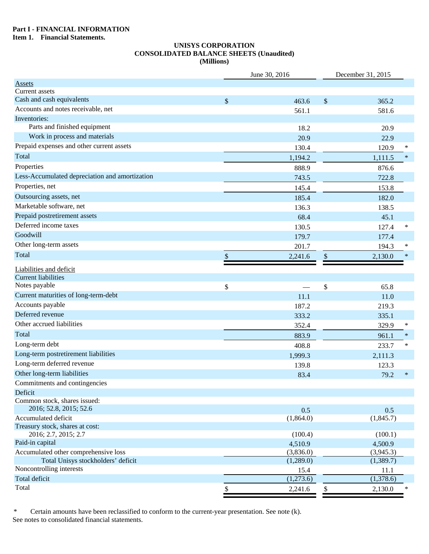# **Part I - FINANCIAL INFORMATION**

**Item 1. Financial Statements.**

# **UNISYS CORPORATION CONSOLIDATED BALANCE SHEETS (Unaudited)**

|                                                | (Millions) |               |                           |                   |        |
|------------------------------------------------|------------|---------------|---------------------------|-------------------|--------|
|                                                |            | June 30, 2016 |                           | December 31, 2015 |        |
| <b>Assets</b>                                  |            |               |                           |                   |        |
| Current assets                                 |            |               |                           |                   |        |
| Cash and cash equivalents                      | \$         | 463.6         | $\$\,$                    | 365.2             |        |
| Accounts and notes receivable, net             |            | 561.1         |                           | 581.6             |        |
| Inventories:                                   |            |               |                           |                   |        |
| Parts and finished equipment                   |            | 18.2          |                           | 20.9              |        |
| Work in process and materials                  |            | 20.9          |                           | 22.9              |        |
| Prepaid expenses and other current assets      |            | 130.4         |                           | 120.9             | ∗      |
| Total                                          |            | 1,194.2       |                           | 1,111.5           | $\ast$ |
| Properties                                     |            | 888.9         |                           | 876.6             |        |
| Less-Accumulated depreciation and amortization |            | 743.5         |                           | 722.8             |        |
| Properties, net                                |            | 145.4         |                           | 153.8             |        |
| Outsourcing assets, net                        |            | 185.4         |                           | 182.0             |        |
| Marketable software, net                       |            | 136.3         |                           | 138.5             |        |
| Prepaid postretirement assets                  |            | 68.4          |                           | 45.1              |        |
| Deferred income taxes                          |            | 130.5         |                           | 127.4             | $\ast$ |
| Goodwill                                       |            | 179.7         |                           | 177.4             |        |
| Other long-term assets                         |            | 201.7         |                           | 194.3             | $\ast$ |
| Total                                          | \$         | 2,241.6       | $\boldsymbol{\mathsf{S}}$ | 2,130.0           | $\ast$ |
| Liabilities and deficit                        |            |               |                           |                   |        |
| <b>Current liabilities</b>                     |            |               |                           |                   |        |
| Notes payable                                  | \$         |               | \$                        | 65.8              |        |
| Current maturities of long-term-debt           |            | 11.1          |                           | 11.0              |        |
| Accounts payable                               |            | 187.2         |                           | 219.3             |        |
| Deferred revenue                               |            | 333.2         |                           | 335.1             |        |
| Other accrued liabilities                      |            | 352.4         |                           | 329.9             | $\ast$ |
| Total                                          |            | 883.9         |                           | 961.1             | $\ast$ |
| Long-term debt                                 |            |               |                           |                   | $\ast$ |
| Long-term postretirement liabilities           |            | 408.8         |                           | 233.7             |        |
| Long-term deferred revenue                     |            | 1,999.3       |                           | 2,111.3           |        |
| Other long-term liabilities                    |            | 139.8         |                           | 123.3             |        |
|                                                |            | 83.4          |                           | 79.2              | $\ast$ |
| Commitments and contingencies                  |            |               |                           |                   |        |
| Deficit<br>Common stock, shares issued:        |            |               |                           |                   |        |
| 2016; 52.8, 2015; 52.6                         |            | 0.5           |                           | 0.5               |        |
| Accumulated deficit                            |            | (1,864.0)     |                           | (1, 845.7)        |        |
| Treasury stock, shares at cost:                |            |               |                           |                   |        |
| 2016; 2.7, 2015; 2.7                           |            | (100.4)       |                           | (100.1)           |        |
| Paid-in capital                                |            | 4,510.9       |                           | 4,500.9           |        |
| Accumulated other comprehensive loss           |            | (3,836.0)     |                           | (3,945.3)         |        |
| Total Unisys stockholders' deficit             |            | (1,289.0)     |                           | (1,389.7)         |        |
| Noncontrolling interests                       |            | 15.4          |                           | 11.1              |        |
| Total deficit                                  |            | (1,273.6)     |                           | (1,378.6)         |        |
| Total                                          | \$         | 2,241.6       | \$                        | 2,130.0           | $\ast$ |

\* Certain amounts have been reclassified to conform to the current-year presentation. See note (k). See notes to consolidated financial statements.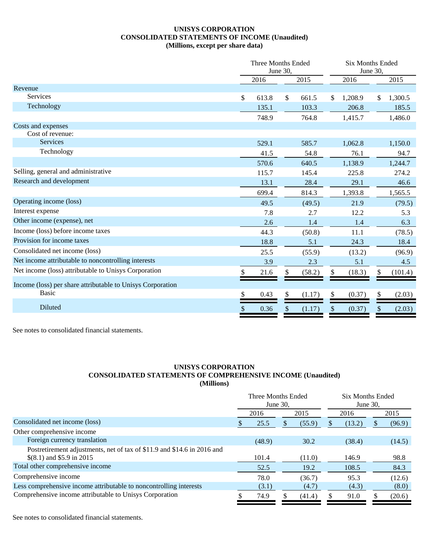#### **UNISYS CORPORATION CONSOLIDATED STATEMENTS OF INCOME (Unaudited) (Millions, except per share data)**

|                                                            | Three Months Ended<br>June 30, |              | <b>Six Months Ended</b><br>June 30, |               |
|------------------------------------------------------------|--------------------------------|--------------|-------------------------------------|---------------|
|                                                            | 2016                           | 2015         | 2016                                | 2015          |
| Revenue                                                    |                                |              |                                     |               |
| Services                                                   | \$<br>613.8                    | \$<br>661.5  | \$<br>1,208.9                       | \$<br>1,300.5 |
| Technology                                                 | 135.1                          | 103.3        | 206.8                               | 185.5         |
|                                                            | 748.9                          | 764.8        | 1,415.7                             | 1,486.0       |
| Costs and expenses                                         |                                |              |                                     |               |
| Cost of revenue:<br>Services                               |                                |              |                                     |               |
|                                                            | 529.1                          | 585.7        | 1,062.8                             | 1,150.0       |
| Technology                                                 | 41.5                           | 54.8         | 76.1                                | 94.7          |
|                                                            | 570.6                          | 640.5        | 1,138.9                             | 1,244.7       |
| Selling, general and administrative                        | 115.7                          | 145.4        | 225.8                               | 274.2         |
| Research and development                                   | 13.1                           | 28.4         | 29.1                                | 46.6          |
|                                                            | 699.4                          | 814.3        | 1,393.8                             | 1,565.5       |
| Operating income (loss)                                    | 49.5                           | (49.5)       | 21.9                                | (79.5)        |
| Interest expense                                           | 7.8                            | 2.7          | 12.2                                | 5.3           |
| Other income (expense), net                                | 2.6                            | 1.4          | 1.4                                 | 6.3           |
| Income (loss) before income taxes                          | 44.3                           | (50.8)       | 11.1                                | (78.5)        |
| Provision for income taxes                                 | 18.8                           | 5.1          | 24.3                                | 18.4          |
| Consolidated net income (loss)                             | 25.5                           | (55.9)       | (13.2)                              | (96.9)        |
| Net income attributable to noncontrolling interests        | 3.9                            | 2.3          | 5.1                                 | 4.5           |
| Net income (loss) attributable to Unisys Corporation       | \$<br>21.6                     | \$<br>(58.2) | \$<br>(18.3)                        | \$<br>(101.4) |
|                                                            |                                |              |                                     |               |
| Income (loss) per share attributable to Unisys Corporation |                                |              |                                     |               |
| <b>Basic</b>                                               | \$<br>0.43                     | \$<br>(1.17) | \$<br>(0.37)                        | \$<br>(2.03)  |
| Diluted                                                    | \$<br>0.36                     | \$<br>(1.17) | \$<br>(0.37)                        | \$<br>(2.03)  |

See notes to consolidated financial statements.

# **UNISYS CORPORATION CONSOLIDATED STATEMENTS OF COMPREHENSIVE INCOME (Unaudited) (Millions)**

|                                                                         | Three Months Ended<br>June 30, |        |      |        |  |        | <b>Six Months Ended</b><br>June 30, |        |  |
|-------------------------------------------------------------------------|--------------------------------|--------|------|--------|--|--------|-------------------------------------|--------|--|
|                                                                         | 2015<br>2016                   |        | 2016 |        |  | 2015   |                                     |        |  |
| Consolidated net income (loss)                                          |                                | 25.5   |      | (55.9) |  | (13.2) | Ъ                                   | (96.9) |  |
| Other comprehensive income                                              |                                |        |      |        |  |        |                                     |        |  |
| Foreign currency translation                                            |                                | (48.9) |      | 30.2   |  | (38.4) |                                     | (14.5) |  |
| Postretirement adjustments, net of tax of \$11.9 and \$14.6 in 2016 and |                                |        |      |        |  |        |                                     |        |  |
| $$(8.1)$ and \$5.9 in 2015                                              |                                | 101.4  |      | (11.0) |  | 146.9  |                                     | 98.8   |  |
| Total other comprehensive income                                        |                                | 52.5   |      | 19.2   |  | 108.5  |                                     | 84.3   |  |
| Comprehensive income                                                    |                                | 78.0   |      | (36.7) |  | 95.3   |                                     | (12.6) |  |
| Less comprehensive income attributable to noncontrolling interests      |                                | (3.1)  |      | (4.7)  |  | (4.3)  |                                     | (8.0)  |  |
| Comprehensive income attributable to Unisys Corporation                 |                                | 74.9   |      | (41.4) |  | 91.0   |                                     | (20.6) |  |

See notes to consolidated financial statements.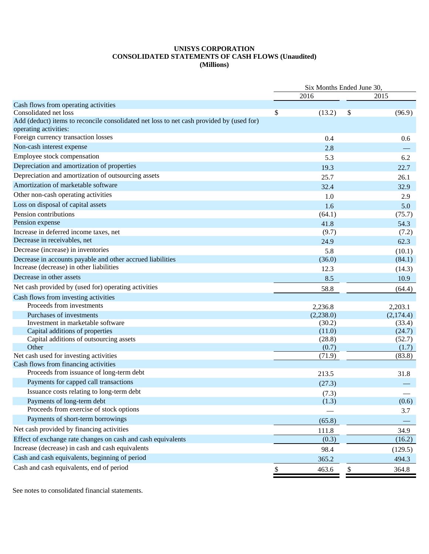# **UNISYS CORPORATION CONSOLIDATED STATEMENTS OF CASH FLOWS (Unaudited) (Millions)**

|                                                                                          | Six Months Ended June 30,<br>2016 | 2015 |           |  |  |
|------------------------------------------------------------------------------------------|-----------------------------------|------|-----------|--|--|
| Cash flows from operating activities                                                     |                                   |      |           |  |  |
| Consolidated net loss                                                                    | \$<br>(13.2)                      | \$   | (96.9)    |  |  |
| Add (deduct) items to reconcile consolidated net loss to net cash provided by (used for) |                                   |      |           |  |  |
| operating activities:                                                                    |                                   |      |           |  |  |
| Foreign currency transaction losses                                                      | 0.4                               |      | 0.6       |  |  |
| Non-cash interest expense                                                                | 2.8                               |      |           |  |  |
| Employee stock compensation                                                              | 5.3                               |      | 6.2       |  |  |
| Depreciation and amortization of properties                                              | 19.3                              |      | 22.7      |  |  |
| Depreciation and amortization of outsourcing assets                                      | 25.7                              |      | 26.1      |  |  |
| Amortization of marketable software                                                      | 32.4                              |      | 32.9      |  |  |
| Other non-cash operating activities                                                      | 1.0                               |      | 2.9       |  |  |
| Loss on disposal of capital assets                                                       | 1.6                               |      | 5.0       |  |  |
| Pension contributions                                                                    | (64.1)                            |      | (75.7)    |  |  |
| Pension expense                                                                          | 41.8                              |      | 54.3      |  |  |
| Increase in deferred income taxes, net                                                   | (9.7)                             |      | (7.2)     |  |  |
| Decrease in receivables, net                                                             | 24.9                              |      | 62.3      |  |  |
| Decrease (increase) in inventories                                                       | 5.8                               |      | (10.1)    |  |  |
| Decrease in accounts payable and other accrued liabilities                               | (36.0)                            |      | (84.1)    |  |  |
| Increase (decrease) in other liabilities                                                 | 12.3                              |      | (14.3)    |  |  |
| Decrease in other assets                                                                 | 8.5                               |      | 10.9      |  |  |
| Net cash provided by (used for) operating activities                                     | 58.8                              |      | (64.4)    |  |  |
| Cash flows from investing activities                                                     |                                   |      |           |  |  |
| Proceeds from investments                                                                | 2,236.8                           |      | 2,203.1   |  |  |
| Purchases of investments                                                                 | (2,238.0)                         |      | (2,174.4) |  |  |
| Investment in marketable software                                                        | (30.2)                            |      | (33.4)    |  |  |
| Capital additions of properties                                                          | (11.0)                            |      | (24.7)    |  |  |
| Capital additions of outsourcing assets                                                  | (28.8)                            |      | (52.7)    |  |  |
| Other                                                                                    | (0.7)                             |      | (1.7)     |  |  |
| Net cash used for investing activities                                                   | (71.9)                            |      | (83.8)    |  |  |
| Cash flows from financing activities<br>Proceeds from issuance of long-term debt         |                                   |      |           |  |  |
|                                                                                          | 213.5                             |      | 31.8      |  |  |
| Payments for capped call transactions                                                    | (27.3)                            |      |           |  |  |
| Issuance costs relating to long-term debt                                                | (7.3)                             |      |           |  |  |
| Payments of long-term debt                                                               | (1.3)                             |      | (0.6)     |  |  |
| Proceeds from exercise of stock options                                                  |                                   |      | 3.7       |  |  |
| Payments of short-term borrowings                                                        | (65.8)                            |      |           |  |  |
| Net cash provided by financing activities                                                | 111.8                             |      | 34.9      |  |  |
| Effect of exchange rate changes on cash and cash equivalents                             | (0.3)                             |      | (16.2)    |  |  |
| Increase (decrease) in cash and cash equivalents                                         | 98.4                              |      | (129.5)   |  |  |
| Cash and cash equivalents, beginning of period                                           | 365.2                             |      | 494.3     |  |  |
| Cash and cash equivalents, end of period                                                 | 463.6                             | \$   | 364.8     |  |  |

See notes to consolidated financial statements.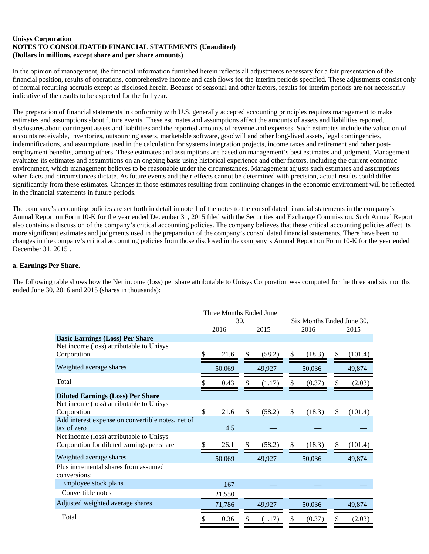#### **Unisys Corporation NOTES TO CONSOLIDATED FINANCIAL STATEMENTS (Unaudited) (Dollars in millions, except share and per share amounts)**

In the opinion of management, the financial information furnished herein reflects all adjustments necessary for a fair presentation of the financial position, results of operations, comprehensive income and cash flows for the interim periods specified. These adjustments consist only of normal recurring accruals except as disclosed herein. Because of seasonal and other factors, results for interim periods are not necessarily indicative of the results to be expected for the full year.

The preparation of financial statements in conformity with U.S. generally accepted accounting principles requires management to make estimates and assumptions about future events. These estimates and assumptions affect the amounts of assets and liabilities reported, disclosures about contingent assets and liabilities and the reported amounts of revenue and expenses. Such estimates include the valuation of accounts receivable, inventories, outsourcing assets, marketable software, goodwill and other long-lived assets, legal contingencies, indemnifications, and assumptions used in the calculation for systems integration projects, income taxes and retirement and other postemployment benefits, among others. These estimates and assumptions are based on management's best estimates and judgment. Management evaluates its estimates and assumptions on an ongoing basis using historical experience and other factors, including the current economic environment, which management believes to be reasonable under the circumstances. Management adjusts such estimates and assumptions when facts and circumstances dictate. As future events and their effects cannot be determined with precision, actual results could differ significantly from these estimates. Changes in those estimates resulting from continuing changes in the economic environment will be reflected in the financial statements in future periods.

The company's accounting policies are set forth in detail in note 1 of the notes to the consolidated financial statements in the company's Annual Report on Form 10-K for the year ended December 31, 2015 filed with the Securities and Exchange Commission. Such Annual Report also contains a discussion of the company's critical accounting policies. The company believes that these critical accounting policies affect its more significant estimates and judgments used in the preparation of the company's consolidated financial statements. There have been no changes in the company's critical accounting policies from those disclosed in the company's Annual Report on Form 10-K for the year ended December 31, 2015 .

#### **a. Earnings Per Share.**

The following table shows how the Net income (loss) per share attributable to Unisys Corporation was computed for the three and six months ended June 30, 2016 and 2015 (shares in thousands):

|                                                                  |              | Three Months Ended June |              |        |    |                           |               |
|------------------------------------------------------------------|--------------|-------------------------|--------------|--------|----|---------------------------|---------------|
|                                                                  |              |                         | 30,          |        |    | Six Months Ended June 30, |               |
|                                                                  |              | 2016                    |              | 2015   |    | 2016                      | 2015          |
| <b>Basic Earnings (Loss) Per Share</b>                           |              |                         |              |        |    |                           |               |
| Net income (loss) attributable to Unisys<br>Corporation          | S            | 21.6                    | <b>S</b>     | (58.2) | \$ | (18.3)                    | \$<br>(101.4) |
| Weighted average shares                                          |              | 50,069                  |              | 49,927 |    | 50,036                    | 49,874        |
| Total                                                            |              | 0.43                    |              | (1.17) | S  | (0.37)                    | \$<br>(2.03)  |
| <b>Diluted Earnings (Loss) Per Share</b>                         |              |                         |              |        |    |                           |               |
| Net income (loss) attributable to Unisys<br>Corporation          | $\mathbb{S}$ | 21.6                    | $\mathbb{S}$ | (58.2) | \$ | (18.3)                    | \$<br>(101.4) |
| Add interest expense on convertible notes, net of<br>tax of zero |              | 4.5                     |              |        |    |                           |               |
| Net income (loss) attributable to Unisys                         |              |                         |              |        |    |                           |               |
| Corporation for diluted earnings per share                       |              | 26.1                    |              | (58.2) |    | (18.3)                    | \$<br>(101.4) |
| Weighted average shares                                          |              | 50,069                  |              | 49,927 |    | 50,036                    | 49,874        |
| Plus incremental shares from assumed<br>conversions:             |              |                         |              |        |    |                           |               |
| Employee stock plans                                             |              | 167                     |              |        |    |                           |               |
| Convertible notes                                                |              | 21,550                  |              |        |    |                           |               |
| Adjusted weighted average shares                                 |              | 71,786                  |              | 49,927 |    | 50,036                    | 49,874        |
| Total                                                            |              | 0.36                    |              | (1.17) | \$ | (0.37)                    | \$<br>(2.03)  |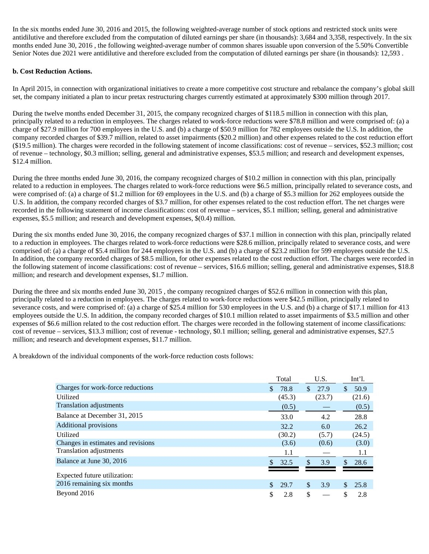In the six months ended June 30, 2016 and 2015, the following weighted-average number of stock options and restricted stock units were antidilutive and therefore excluded from the computation of diluted earnings per share (in thousands): 3,684 and 3,358, respectively. In the six months ended June 30, 2016 , the following weighted-average number of common shares issuable upon conversion of the 5.50% Convertible Senior Notes due 2021 were antidilutive and therefore excluded from the computation of diluted earnings per share (in thousands): 12,593 .

#### **b. Cost Reduction Actions.**

In April 2015, in connection with organizational initiatives to create a more competitive cost structure and rebalance the company's global skill set, the company initiated a plan to incur pretax restructuring charges currently estimated at approximately \$300 million through 2017.

During the twelve months ended December 31, 2015, the company recognized charges of \$118.5 million in connection with this plan, principally related to a reduction in employees. The charges related to work-force reductions were \$78.8 million and were comprised of: (a) a charge of \$27.9 million for 700 employees in the U.S. and (b) a charge of \$50.9 million for 782 employees outside the U.S. In addition, the company recorded charges of \$39.7 million, related to asset impairments (\$20.2 million) and other expenses related to the cost reduction effort (\$19.5 million). The charges were recorded in the following statement of income classifications: cost of revenue – services, \$52.3 million; cost of revenue – technology, \$0.3 million; selling, general and administrative expenses, \$53.5 million; and research and development expenses, \$12.4 million.

During the three months ended June 30, 2016, the company recognized charges of \$10.2 million in connection with this plan, principally related to a reduction in employees. The charges related to work-force reductions were \$6.5 million, principally related to severance costs, and were comprised of: (a) a charge of \$1.2 million for 69 employees in the U.S. and (b) a charge of \$5.3 million for 262 employees outside the U.S. In addition, the company recorded charges of \$3.7 million, for other expenses related to the cost reduction effort. The net charges were recorded in the following statement of income classifications: cost of revenue – services, \$5.1 million; selling, general and administrative expenses, \$5.5 million; and research and development expenses, \$(0.4) million.

During the six months ended June 30, 2016, the company recognized charges of \$37.1 million in connection with this plan, principally related to a reduction in employees. The charges related to work-force reductions were \$28.6 million, principally related to severance costs, and were comprised of: (a) a charge of \$5.4 million for 244 employees in the U.S. and (b) a charge of \$23.2 million for 599 employees outside the U.S. In addition, the company recorded charges of \$8.5 million, for other expenses related to the cost reduction effort. The charges were recorded in the following statement of income classifications: cost of revenue – services, \$16.6 million; selling, general and administrative expenses, \$18.8 million; and research and development expenses, \$1.7 million.

During the three and six months ended June 30, 2015 , the company recognized charges of \$52.6 million in connection with this plan, principally related to a reduction in employees. The charges related to work-force reductions were \$42.5 million, principally related to severance costs, and were comprised of: (a) a charge of \$25.4 million for 530 employees in the U.S. and (b) a charge of \$17.1 million for 413 employees outside the U.S. In addition, the company recorded charges of \$10.1 million related to asset impairments of \$3.5 million and other expenses of \$6.6 million related to the cost reduction effort. The charges were recorded in the following statement of income classifications: cost of revenue – services, \$13.3 million; cost of revenue - technology, \$0.1 million; selling, general and administrative expenses, \$27.5 million; and research and development expenses, \$11.7 million.

A breakdown of the individual components of the work-force reduction costs follows:

|                                    |     | Total  |                | U.S.   |              | $Int1$ . |
|------------------------------------|-----|--------|----------------|--------|--------------|----------|
| Charges for work-force reductions  | \$. | 78.8   | $\mathbb{S}^-$ | 27.9   | $\mathbb{S}$ | 50.9     |
| Utilized                           |     | (45.3) |                | (23.7) |              | (21.6)   |
| Translation adjustments            |     | (0.5)  |                |        |              | (0.5)    |
| Balance at December 31, 2015       |     | 33.0   |                | 4.2    |              | 28.8     |
| <b>Additional provisions</b>       |     | 32.2   |                | 6.0    |              | 26.2     |
| Utilized                           |     | (30.2) |                | (5.7)  |              | (24.5)   |
| Changes in estimates and revisions |     | (3.6)  |                | (0.6)  |              | (3.0)    |
| Translation adjustments            |     | 1.1    |                |        |              | 1.1      |
| Balance at June 30, 2016           |     | 32.5   | \$.            | 3.9    | \$.          | 28.6     |
| Expected future utilization:       |     |        |                |        |              |          |
| 2016 remaining six months          |     | 29.7   | <sup>\$</sup>  | 3.9    | \$.          | 25.8     |
| Beyond 2016                        | \$  | 2.8    | \$             |        | \$           | 2.8      |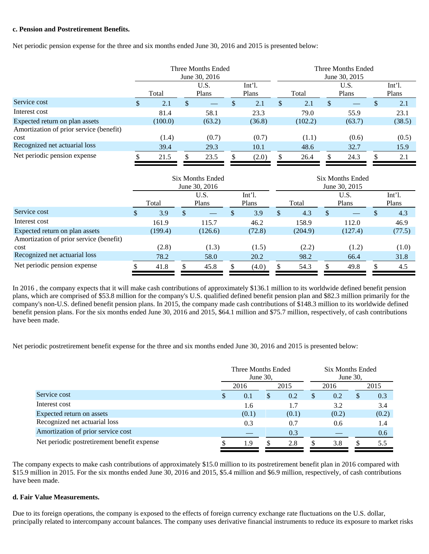#### **c. Pension and Postretirement Benefits.**

Net periodic pension expense for the three and six months ended June 30, 2016 and 2015 is presented below:

|                                         |   |         | Three Months Ended<br>June 30, 2016 |   | Three Months Ended<br>June 30, 2015 |     |         |               |               |  |                   |  |
|-----------------------------------------|---|---------|-------------------------------------|---|-------------------------------------|-----|---------|---------------|---------------|--|-------------------|--|
|                                         |   | Total   | U.S.<br>Plans                       |   | $Int1$ .<br>Plans                   |     | Total   |               | U.S.<br>Plans |  | $Int1$ .<br>Plans |  |
| Service cost                            | S | 2.1     | \$                                  | D | 2.1                                 | \$. | 2.1     | <sup>\$</sup> |               |  | 2.1               |  |
| Interest cost                           |   | 81.4    | 58.1                                |   | 23.3                                |     | 79.0    |               | 55.9          |  | 23.1              |  |
| Expected return on plan assets          |   | (100.0) | (63.2)                              |   | (36.8)                              |     | (102.2) |               | (63.7)        |  | (38.5)            |  |
| Amortization of prior service (benefit) |   |         |                                     |   |                                     |     |         |               |               |  |                   |  |
| cost                                    |   | (1.4)   | (0.7)                               |   | (0.7)                               |     | (1.1)   |               | (0.6)         |  | (0.5)             |  |
| Recognized net actuarial loss           |   | 39.4    | 29.3                                |   | 10.1                                |     | 48.6    |               | 32.7          |  | 15.9              |  |
| Net periodic pension expense            |   | 21.5    | 23.5                                |   | (2.0)                               |     | 26.4    |               | 24.3          |  | 2.1               |  |

|                                         |   |         | <b>Six Months Ended</b><br>June 30, 2016 |                   |   |         |               | Six Months Ended<br>June 30, 2015 |                   |
|-----------------------------------------|---|---------|------------------------------------------|-------------------|---|---------|---------------|-----------------------------------|-------------------|
|                                         |   | Total   | U.S.<br>Plans                            | $Int1$ .<br>Plans |   | Total   |               | U.S.<br>Plans                     | $Int1$ .<br>Plans |
| Service cost                            | S | 3.9     | \$                                       | 3.9               | S | 4.3     | <sup>\$</sup> |                                   | 4.3               |
| Interest cost                           |   | 161.9   | 115.7                                    | 46.2              |   | 158.9   |               | 112.0                             | 46.9              |
| Expected return on plan assets          |   | (199.4) | (126.6)                                  | (72.8)            |   | (204.9) |               | (127.4)                           | (77.5)            |
| Amortization of prior service (benefit) |   |         |                                          |                   |   |         |               |                                   |                   |
| cost                                    |   | (2.8)   | (1.3)                                    | (1.5)             |   | (2.2)   |               | (1.2)                             | (1.0)             |
| Recognized net actuarial loss           |   | 78.2    | 58.0                                     | 20.2              |   | 98.2    |               | 66.4                              | 31.8              |
| Net periodic pension expense            |   | 41.8    | 45.8                                     | (4.0)             |   | 54.3    | \$            | 49.8                              | 4.5               |

In 2016 , the company expects that it will make cash contributions of approximately \$136.1 million to its worldwide defined benefit pension plans, which are comprised of \$53.8 million for the company's U.S. qualified defined benefit pension plan and \$82.3 million primarily for the company's non-U.S. defined benefit pension plans. In 2015, the company made cash contributions of \$148.3 million to its worldwide defined benefit pension plans. For the six months ended June 30, 2016 and 2015, \$64.1 million and \$75.7 million, respectively, of cash contributions have been made.

Net periodic postretirement benefit expense for the three and six months ended June 30, 2016 and 2015 is presented below:

|                                             |     | Three Months Ended<br>June 30, |    |       |           | Six Months Ended<br>June $30$ , |       |  |
|---------------------------------------------|-----|--------------------------------|----|-------|-----------|---------------------------------|-------|--|
|                                             |     | 2015<br>2016                   |    |       | 2016      | 2015                            |       |  |
| Service cost                                | \$. | 0.1                            | \$ | 0.2   | \$<br>0.2 | S                               | 0.3   |  |
| Interest cost                               |     | 1.6                            |    | 1.7   | 3.2       |                                 | 3.4   |  |
| Expected return on assets                   |     | (0.1)                          |    | (0.1) | (0.2)     |                                 | (0.2) |  |
| Recognized net actuarial loss               |     | 0.3                            |    | 0.7   | 0.6       |                                 | 1.4   |  |
| Amortization of prior service cost          |     |                                |    | 0.3   |           |                                 | 0.6   |  |
| Net periodic postretirement benefit expense |     | 1.9                            |    | 2.8   | 3.8       |                                 | 5.5   |  |

The company expects to make cash contributions of approximately \$15.0 million to its postretirement benefit plan in 2016 compared with \$15.9 million in 2015. For the six months ended June 30, 2016 and 2015, \$5.4 million and \$6.9 million, respectively, of cash contributions have been made.

#### **d. Fair Value Measurements.**

Due to its foreign operations, the company is exposed to the effects of foreign currency exchange rate fluctuations on the U.S. dollar, principally related to intercompany account balances. The company uses derivative financial instruments to reduce its exposure to market risks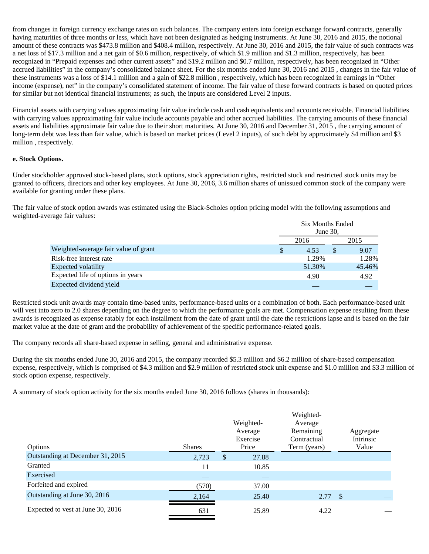from changes in foreign currency exchange rates on such balances. The company enters into foreign exchange forward contracts, generally having maturities of three months or less, which have not been designated as hedging instruments. At June 30, 2016 and 2015, the notional amount of these contracts was \$473.8 million and \$408.4 million, respectively. At June 30, 2016 and 2015, the fair value of such contracts was a net loss of \$17.3 million and a net gain of \$0.6 million, respectively, of which \$1.9 million and \$1.3 million, respectively, has been recognized in "Prepaid expenses and other current assets" and \$19.2 million and \$0.7 million, respectively, has been recognized in "Other accrued liabilities" in the company's consolidated balance sheet. For the six months ended June 30, 2016 and 2015 , changes in the fair value of these instruments was a loss of \$14.1 million and a gain of \$22.8 million , respectively, which has been recognized in earnings in "Other income (expense), net" in the company's consolidated statement of income. The fair value of these forward contracts is based on quoted prices for similar but not identical financial instruments; as such, the inputs are considered Level 2 inputs.

Financial assets with carrying values approximating fair value include cash and cash equivalents and accounts receivable. Financial liabilities with carrying values approximating fair value include accounts payable and other accrued liabilities. The carrying amounts of these financial assets and liabilities approximate fair value due to their short maturities. At June 30, 2016 and December 31, 2015 , the carrying amount of long-term debt was less than fair value, which is based on market prices (Level 2 inputs), of such debt by approximately \$4 million and \$3 million , respectively.

#### **e. Stock Options.**

Under stockholder approved stock-based plans, stock options, stock appreciation rights, restricted stock and restricted stock units may be granted to officers, directors and other key employees. At June 30, 2016, 3.6 million shares of unissued common stock of the company were available for granting under these plans.

The fair value of stock option awards was estimated using the Black-Scholes option pricing model with the following assumptions and weighted-average fair values:

|                                      |    | <b>Six Months Ended</b> |      |        |  |  |  |  |  |
|--------------------------------------|----|-------------------------|------|--------|--|--|--|--|--|
|                                      |    | June 30,                |      |        |  |  |  |  |  |
|                                      |    |                         | 2015 |        |  |  |  |  |  |
| Weighted-average fair value of grant | \$ | 4.53                    | S    | 9.07   |  |  |  |  |  |
| Risk-free interest rate              |    | 1.29%                   |      | 1.28%  |  |  |  |  |  |
| Expected volatility                  |    | 51.30%                  |      | 45.46% |  |  |  |  |  |
| Expected life of options in years    |    | 4.90                    |      | 4.92   |  |  |  |  |  |
| Expected dividend yield              |    |                         |      |        |  |  |  |  |  |

Restricted stock unit awards may contain time-based units, performance-based units or a combination of both. Each performance-based unit will vest into zero to 2.0 shares depending on the degree to which the performance goals are met. Compensation expense resulting from these awards is recognized as expense ratably for each installment from the date of grant until the date the restrictions lapse and is based on the fair market value at the date of grant and the probability of achievement of the specific performance-related goals.

The company records all share-based expense in selling, general and administrative expense.

During the six months ended June 30, 2016 and 2015, the company recorded \$5.3 million and \$6.2 million of share-based compensation expense, respectively, which is comprised of \$4.3 million and \$2.9 million of restricted stock unit expense and \$1.0 million and \$3.3 million of stock option expense, respectively.

A summary of stock option activity for the six months ended June 30, 2016 follows (shares in thousands):

| Options                           | <b>Shares</b> | Weighted-<br>Average<br>Exercise<br>Price | Weighted-<br>Average<br>Remaining<br>Contractual<br>Term (years) | Aggregate<br>Intrinsic<br>Value |  |
|-----------------------------------|---------------|-------------------------------------------|------------------------------------------------------------------|---------------------------------|--|
| Outstanding at December 31, 2015  | 2,723         | \$<br>27.88                               |                                                                  |                                 |  |
| Granted                           | 11            | 10.85                                     |                                                                  |                                 |  |
| Exercised                         |               |                                           |                                                                  |                                 |  |
| Forfeited and expired             | (570)         | 37.00                                     |                                                                  |                                 |  |
| Outstanding at June 30, 2016      | 2,164         | 25.40                                     | 2.77S                                                            |                                 |  |
| Expected to vest at June 30, 2016 | 631           | 25.89                                     | 4.22                                                             |                                 |  |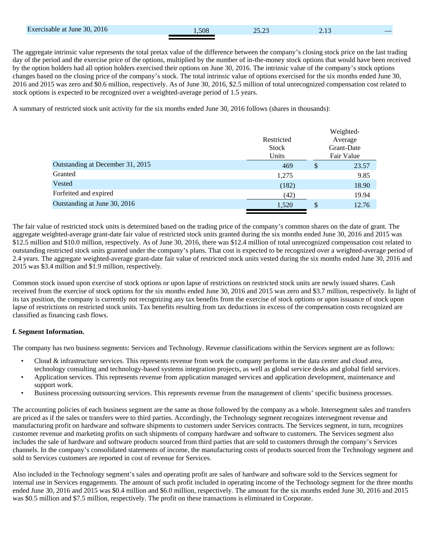| 43.A<br>ب 1. ب | Exercisable at June 30, 2016 | 508 | $\sim$<br>つち |  |  |
|----------------|------------------------------|-----|--------------|--|--|
|----------------|------------------------------|-----|--------------|--|--|

The aggregate intrinsic value represents the total pretax value of the difference between the company's closing stock price on the last trading day of the period and the exercise price of the options, multiplied by the number of in-the-money stock options that would have been received by the option holders had all option holders exercised their options on June 30, 2016. The intrinsic value of the company's stock options changes based on the closing price of the company's stock. The total intrinsic value of options exercised for the six months ended June 30, 2016 and 2015 was zero and \$0.6 million, respectively. As of June 30, 2016, \$2.5 million of total unrecognized compensation cost related to stock options is expected to be recognized over a weighted-average period of 1.5 years.

A summary of restricted stock unit activity for the six months ended June 30, 2016 follows (shares in thousands):

|                                  | Restricted<br><b>Stock</b><br>Units | Weighted-<br>Average<br>Grant-Date<br>Fair Value |
|----------------------------------|-------------------------------------|--------------------------------------------------|
| Outstanding at December 31, 2015 | 469                                 | \$<br>23.57                                      |
| Granted                          | 1,275                               | 9.85                                             |
| Vested                           | (182)                               | 18.90                                            |
| Forfeited and expired            | (42)                                | 19.94                                            |
| Outstanding at June 30, 2016     | 1,520                               | \$<br>12.76                                      |

The fair value of restricted stock units is determined based on the trading price of the company's common shares on the date of grant. The aggregate weighted-average grant-date fair value of restricted stock units granted during the six months ended June 30, 2016 and 2015 was \$12.5 million and \$10.0 million, respectively. As of June 30, 2016, there was \$12.4 million of total unrecognized compensation cost related to outstanding restricted stock units granted under the company's plans. That cost is expected to be recognized over a weighted-average period of 2.4 years. The aggregate weighted-average grant-date fair value of restricted stock units vested during the six months ended June 30, 2016 and 2015 was \$3.4 million and \$1.9 million, respectively.

Common stock issued upon exercise of stock options or upon lapse of restrictions on restricted stock units are newly issued shares. Cash received from the exercise of stock options for the six months ended June 30, 2016 and 2015 was zero and \$3.7 million, respectively. In light of its tax position, the company is currently not recognizing any tax benefits from the exercise of stock options or upon issuance of stock upon lapse of restrictions on restricted stock units. Tax benefits resulting from tax deductions in excess of the compensation costs recognized are classified as financing cash flows.

#### **f. Segment Information.**

The company has two business segments: Services and Technology. Revenue classifications within the Services segment are as follows:

- Cloud  $\&$  infrastructure services. This represents revenue from work the company performs in the data center and cloud area, technology consulting and technology-based systems integration projects, as well as global service desks and global field services. • Application services. This represents revenue from application managed services and application development, maintenance and
- support work.
- Business processing outsourcing services. This represents revenue from the management of clients' specific business processes.

The accounting policies of each business segment are the same as those followed by the company as a whole. Intersegment sales and transfers are priced as if the sales or transfers were to third parties. Accordingly, the Technology segment recognizes intersegment revenue and manufacturing profit on hardware and software shipments to customers under Services contracts. The Services segment, in turn, recognizes customer revenue and marketing profits on such shipments of company hardware and software to customers. The Services segment also includes the sale of hardware and software products sourced from third parties that are sold to customers through the company's Services channels. In the company's consolidated statements of income, the manufacturing costs of products sourced from the Technology segment and sold to Services customers are reported in cost of revenue for Services.

Also included in the Technology segment's sales and operating profit are sales of hardware and software sold to the Services segment for internal use in Services engagements. The amount of such profit included in operating income of the Technology segment for the three months ended June 30, 2016 and 2015 was \$0.4 million and \$6.0 million, respectively. The amount for the six months ended June 30, 2016 and 2015 was \$0.5 million and \$7.5 million, respectively. The profit on these transactions is eliminated in Corporate.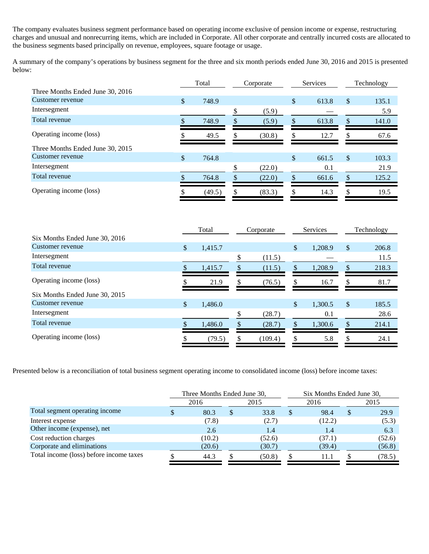The company evaluates business segment performance based on operating income exclusive of pension income or expense, restructuring charges and unusual and nonrecurring items, which are included in Corporate. All other corporate and centrally incurred costs are allocated to the business segments based principally on revenue, employees, square footage or usage.

A summary of the company's operations by business segment for the three and six month periods ended June 30, 2016 and 2015 is presented

| Total         |        |        | Corporate |    | <b>Services</b> |              | Technology |
|---------------|--------|--------|-----------|----|-----------------|--------------|------------|
|               |        |        |           |    |                 |              |            |
| \$            | 748.9  |        |           | \$ | 613.8           | $\mathbb{S}$ | 135.1      |
|               |        | ¢<br>J | (5.9)     |    |                 |              | 5.9        |
|               | 748.9  |        | (5.9)     | \$ | 613.8           |              | 141.0      |
|               | 49.5   |        | (30.8)    | \$ | 12.7            |              | 67.6       |
|               |        |        |           |    |                 |              |            |
| $\mathcal{S}$ | 764.8  |        |           | \$ | 661.5           | \$           | 103.3      |
|               |        | \$     | (22.0)    |    | 0.1             |              | 21.9       |
|               | 764.8  |        | (22.0)    | \$ | 661.6           |              | 125.2      |
|               | (49.5) |        | (83.3)    | \$ | 14.3            |              | 19.5       |
|               |        |        |           |    |                 |              |            |

|                                | Total |         |    | Corporate |              | Services |               | Technology |  |
|--------------------------------|-------|---------|----|-----------|--------------|----------|---------------|------------|--|
| Six Months Ended June 30, 2016 |       |         |    |           |              |          |               |            |  |
| Customer revenue               | \$    | 1,415.7 |    |           | \$           | 1,208.9  | \$            | 206.8      |  |
| Intersegment                   |       |         | \$ | (11.5)    |              |          |               | 11.5       |  |
| Total revenue                  |       | 1,415.7 |    | (11.5)    | \$           | 1,208.9  | \$            | 218.3      |  |
| Operating income (loss)        |       | 21.9    | S  | (76.5)    |              | 16.7     | S             | 81.7       |  |
| Six Months Ended June 30, 2015 |       |         |    |           |              |          |               |            |  |
| Customer revenue               | \$    | 1,486.0 |    |           | $\mathbb{S}$ | 1,300.5  | $\mathcal{S}$ | 185.5      |  |
| Intersegment                   |       |         | \$ | (28.7)    |              | 0.1      |               | 28.6       |  |
| Total revenue                  |       | 1,486.0 | \$ | (28.7)    |              | 1,300.6  | \$.           | 214.1      |  |
| Operating income (loss)        |       | (79.5)  | \$ | (109.4)   |              | 5.8      | \$            | 24.1       |  |

Presented below is a reconciliation of total business segment operating income to consolidated income (loss) before income taxes:

|                                         | Three Months Ended June 30, |        |      |        |      | Six Months Ended June 30, |  |        |  |  |
|-----------------------------------------|-----------------------------|--------|------|--------|------|---------------------------|--|--------|--|--|
|                                         | 2016                        |        | 2015 |        | 2016 |                           |  | 2015   |  |  |
| Total segment operating income          |                             | 80.3   |      | 33.8   |      | 98.4                      |  | 29.9   |  |  |
| Interest expense                        |                             | (7.8)  |      | (2.7)  |      | (12.2)                    |  | (5.3)  |  |  |
| Other income (expense), net             |                             | 2.6    |      | 1.4    |      | 1.4                       |  | 6.3    |  |  |
| Cost reduction charges                  |                             | (10.2) |      | (52.6) |      | (37.1)                    |  | (52.6) |  |  |
| Corporate and eliminations              |                             | (20.6) |      | (30.7) |      | (39.4)                    |  | (56.8) |  |  |
| Total income (loss) before income taxes |                             | 44.3   |      | (50.8) |      | 11.1                      |  | (78.5) |  |  |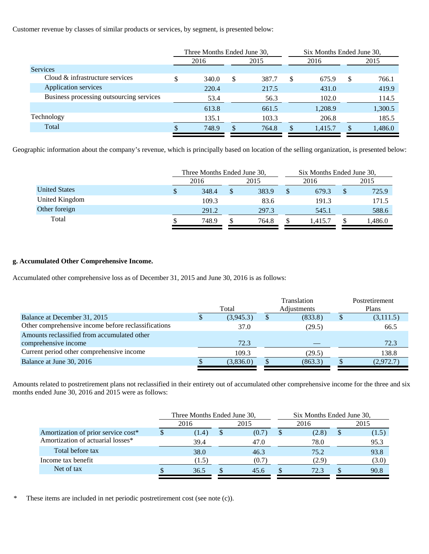Customer revenue by classes of similar products or services, by segment, is presented below:

|                                          |      | Three Months Ended June 30, |      |       |      |         | Six Months Ended June 30, |         |  |
|------------------------------------------|------|-----------------------------|------|-------|------|---------|---------------------------|---------|--|
|                                          | 2016 |                             | 2015 |       | 2016 |         | 2015                      |         |  |
| <b>Services</b>                          |      |                             |      |       |      |         |                           |         |  |
| Cloud & infrastructure services          | \$   | 340.0                       | \$   | 387.7 | \$   | 675.9   | \$                        | 766.1   |  |
| Application services                     |      | 220.4                       |      | 217.5 |      | 431.0   |                           | 419.9   |  |
| Business processing outsourcing services |      | 53.4                        |      | 56.3  |      | 102.0   |                           | 114.5   |  |
|                                          |      | 613.8                       |      | 661.5 |      | 1,208.9 |                           | 1,300.5 |  |
| Technology                               |      | 135.1                       |      | 103.3 |      | 206.8   |                           | 185.5   |  |
| Total                                    |      | 748.9                       | \$.  | 764.8 |      | 1,415.7 |                           | 1,486.0 |  |

Geographic information about the company's revenue, which is principally based on location of the selling organization, is presented below:

|                      |     | Three Months Ended June 30, |      |       |    | Six Months Ended June 30, |      |         |  |
|----------------------|-----|-----------------------------|------|-------|----|---------------------------|------|---------|--|
|                      |     | 2016                        | 2015 |       |    | 2016                      | 2015 |         |  |
| <b>United States</b> | \$. | 348.4                       | \$.  | 383.9 | S  | 679.3                     | S    | 725.9   |  |
| United Kingdom       |     | 109.3                       |      | 83.6  |    | 191.3                     |      | 171.5   |  |
| Other foreign        |     | 291.2                       |      | 297.3 |    | 545.1                     |      | 588.6   |  |
| Total                |     | 748.9                       |      | 764.8 | ۰Π | 1.415.7                   |      | 1,486.0 |  |

# **g. Accumulated Other Comprehensive Income.**

Accumulated other comprehensive loss as of December 31, 2015 and June 30, 2016 is as follows:

|                                                     | Total     | <b>Translation</b><br>Adjustments | Postretirement<br>Plans |           |  |
|-----------------------------------------------------|-----------|-----------------------------------|-------------------------|-----------|--|
| Balance at December 31, 2015                        | (3,945.3) | (833.8)                           |                         | (3,111.5) |  |
| Other comprehensive income before reclassifications | 37.0      | (29.5)                            |                         | 66.5      |  |
| Amounts reclassified from accumulated other         |           |                                   |                         |           |  |
| comprehensive income                                | 72.3      |                                   |                         | 72.3      |  |
| Current period other comprehensive income           | 109.3     | (29.5)                            |                         | 138.8     |  |
| Balance at June 30, 2016                            | (3,836.0) | (863.3)                           |                         | (2,972.7) |  |

Amounts related to postretirement plans not reclassified in their entirety out of accumulated other comprehensive income for the three and six months ended June 30, 2016 and 2015 were as follows:

|                                     | Three Months Ended June 30, |       | Six Months Ended June 30, |       |  |       |
|-------------------------------------|-----------------------------|-------|---------------------------|-------|--|-------|
|                                     | 2016                        | 2015  |                           | 2016  |  | 2015  |
| Amortization of prior service cost* | (1.4)                       | (0.7) |                           | (2.8) |  | (1.5) |
| Amortization of actuarial losses*   | 39.4                        | 47.0  |                           | 78.0  |  | 95.3  |
| Total before tax                    | 38.0                        | 46.3  |                           | 75.2  |  | 93.8  |
| Income tax benefit                  | (1.5)                       | (0.7) |                           | (2.9) |  | (3.0) |
| Net of tax                          | 36.5                        | 45.6  |                           | 72.3  |  | 90.8  |

\* These items are included in net periodic postretirement cost (see note (c)).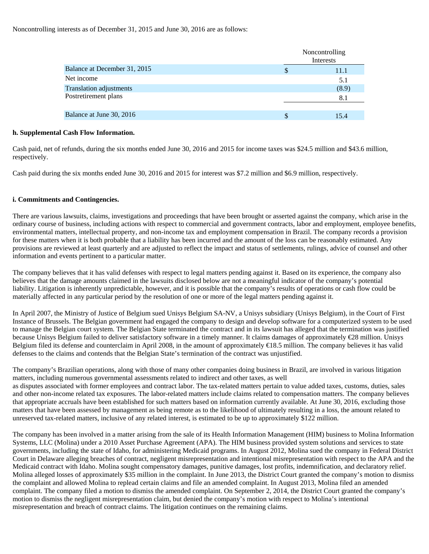Noncontrolling interests as of December 31, 2015 and June 30, 2016 are as follows:

|                                |   | Noncontrolling<br>Interests |
|--------------------------------|---|-----------------------------|
| Balance at December 31, 2015   | S | 11.1                        |
| Net income                     |   | 5.1                         |
| <b>Translation adjustments</b> |   | (8.9)                       |
| Postretirement plans           |   | 8.1                         |
|                                |   |                             |
| Balance at June 30, 2016       |   | 154                         |

#### **h. Supplemental Cash Flow Information.**

Cash paid, net of refunds, during the six months ended June 30, 2016 and 2015 for income taxes was \$24.5 million and \$43.6 million, respectively.

Cash paid during the six months ended June 30, 2016 and 2015 for interest was \$7.2 million and \$6.9 million, respectively.

#### **i. Commitments and Contingencies.**

There are various lawsuits, claims, investigations and proceedings that have been brought or asserted against the company, which arise in the ordinary course of business, including actions with respect to commercial and government contracts, labor and employment, employee benefits, environmental matters, intellectual property, and non-income tax and employment compensation in Brazil. The company records a provision for these matters when it is both probable that a liability has been incurred and the amount of the loss can be reasonably estimated. Any provisions are reviewed at least quarterly and are adjusted to reflect the impact and status of settlements, rulings, advice of counsel and other information and events pertinent to a particular matter.

The company believes that it has valid defenses with respect to legal matters pending against it. Based on its experience, the company also believes that the damage amounts claimed in the lawsuits disclosed below are not a meaningful indicator of the company's potential liability. Litigation is inherently unpredictable, however, and it is possible that the company's results of operations or cash flow could be materially affected in any particular period by the resolution of one or more of the legal matters pending against it.

In April 2007, the Ministry of Justice of Belgium sued Unisys Belgium SA-NV, a Unisys subsidiary (Unisys Belgium), in the Court of First Instance of Brussels. The Belgian government had engaged the company to design and develop software for a computerized system to be used to manage the Belgian court system. The Belgian State terminated the contract and in its lawsuit has alleged that the termination was justified because Unisys Belgium failed to deliver satisfactory software in a timely manner. It claims damages of approximately €28 million. Unisys Belgium filed its defense and counterclaim in April 2008, in the amount of approximately €18.5 million. The company believes it has valid defenses to the claims and contends that the Belgian State's termination of the contract was unjustified.

The company's Brazilian operations, along with those of many other companies doing business in Brazil, are involved in various litigation matters, including numerous governmental assessments related to indirect and other taxes, as well

as disputes associated with former employees and contract labor. The tax-related matters pertain to value added taxes, customs, duties, sales and other non-income related tax exposures. The labor-related matters include claims related to compensation matters. The company believes that appropriate accruals have been established for such matters based on information currently available. At June 30, 2016, excluding those matters that have been assessed by management as being remote as to the likelihood of ultimately resulting in a loss, the amount related to unreserved tax-related matters, inclusive of any related interest, is estimated to be up to approximately \$122 million.

The company has been involved in a matter arising from the sale of its Health Information Management (HIM) business to Molina Information Systems, LLC (Molina) under a 2010 Asset Purchase Agreement (APA). The HIM business provided system solutions and services to state governments, including the state of Idaho, for administering Medicaid programs. In August 2012, Molina sued the company in Federal District Court in Delaware alleging breaches of contract, negligent misrepresentation and intentional misrepresentation with respect to the APA and the Medicaid contract with Idaho. Molina sought compensatory damages, punitive damages, lost profits, indemnification, and declaratory relief. Molina alleged losses of approximately \$35 million in the complaint. In June 2013, the District Court granted the company's motion to dismiss the complaint and allowed Molina to replead certain claims and file an amended complaint. In August 2013, Molina filed an amended complaint. The company filed a motion to dismiss the amended complaint. On September 2, 2014, the District Court granted the company's motion to dismiss the negligent misrepresentation claim, but denied the company's motion with respect to Molina's intentional misrepresentation and breach of contract claims. The litigation continues on the remaining claims.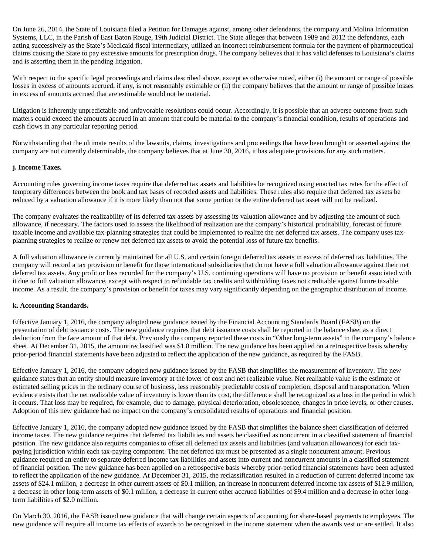On June 26, 2014, the State of Louisiana filed a Petition for Damages against, among other defendants, the company and Molina Information Systems, LLC, in the Parish of East Baton Rouge, 19th Judicial District. The State alleges that between 1989 and 2012 the defendants, each acting successively as the State's Medicaid fiscal intermediary, utilized an incorrect reimbursement formula for the payment of pharmaceutical claims causing the State to pay excessive amounts for prescription drugs. The company believes that it has valid defenses to Louisiana's claims and is asserting them in the pending litigation.

With respect to the specific legal proceedings and claims described above, except as otherwise noted, either (i) the amount or range of possible losses in excess of amounts accrued, if any, is not reasonably estimable or (ii) the company believes that the amount or range of possible losses in excess of amounts accrued that are estimable would not be material.

Litigation is inherently unpredictable and unfavorable resolutions could occur. Accordingly, it is possible that an adverse outcome from such matters could exceed the amounts accrued in an amount that could be material to the company's financial condition, results of operations and cash flows in any particular reporting period.

Notwithstanding that the ultimate results of the lawsuits, claims, investigations and proceedings that have been brought or asserted against the company are not currently determinable, the company believes that at June 30, 2016, it has adequate provisions for any such matters.

#### **j. Income Taxes.**

Accounting rules governing income taxes require that deferred tax assets and liabilities be recognized using enacted tax rates for the effect of temporary differences between the book and tax bases of recorded assets and liabilities. These rules also require that deferred tax assets be reduced by a valuation allowance if it is more likely than not that some portion or the entire deferred tax asset will not be realized.

The company evaluates the realizability of its deferred tax assets by assessing its valuation allowance and by adjusting the amount of such allowance, if necessary. The factors used to assess the likelihood of realization are the company's historical profitability, forecast of future taxable income and available tax-planning strategies that could be implemented to realize the net deferred tax assets. The company uses taxplanning strategies to realize or renew net deferred tax assets to avoid the potential loss of future tax benefits.

A full valuation allowance is currently maintained for all U.S. and certain foreign deferred tax assets in excess of deferred tax liabilities. The company will record a tax provision or benefit for those international subsidiaries that do not have a full valuation allowance against their net deferred tax assets. Any profit or loss recorded for the company's U.S. continuing operations will have no provision or benefit associated with it due to full valuation allowance, except with respect to refundable tax credits and withholding taxes not creditable against future taxable income. As a result, the company's provision or benefit for taxes may vary significantly depending on the geographic distribution of income.

#### **k. Accounting Standards.**

Effective January 1, 2016, the company adopted new guidance issued by the Financial Accounting Standards Board (FASB) on the presentation of debt issuance costs. The new guidance requires that debt issuance costs shall be reported in the balance sheet as a direct deduction from the face amount of that debt. Previously the company reported these costs in "Other long-term assets" in the company's balance sheet. At December 31, 2015, the amount reclassified was \$1.8 million. The new guidance has been applied on a retrospective basis whereby prior-period financial statements have been adjusted to reflect the application of the new guidance, as required by the FASB.

Effective January 1, 2016, the company adopted new guidance issued by the FASB that simplifies the measurement of inventory. The new guidance states that an entity should measure inventory at the lower of cost and net realizable value. Net realizable value is the estimate of estimated selling prices in the ordinary course of business, less reasonably predictable costs of completion, disposal and transportation. When evidence exists that the net realizable value of inventory is lower than its cost, the difference shall be recognized as a loss in the period in which it occurs. That loss may be required, for example, due to damage, physical deterioration, obsolescence, changes in price levels, or other causes. Adoption of this new guidance had no impact on the company's consolidated results of operations and financial position.

Effective January 1, 2016, the company adopted new guidance issued by the FASB that simplifies the balance sheet classification of deferred income taxes. The new guidance requires that deferred tax liabilities and assets be classified as noncurrent in a classified statement of financial position. The new guidance also requires companies to offset all deferred tax assets and liabilities (and valuation allowances) for each taxpaying jurisdiction within each tax-paying component. The net deferred tax must be presented as a single noncurrent amount. Previous guidance required an entity to separate deferred income tax liabilities and assets into current and noncurrent amounts in a classified statement of financial position. The new guidance has been applied on a retrospective basis whereby prior-period financial statements have been adjusted to reflect the application of the new guidance. At December 31, 2015, the reclassification resulted in a reduction of current deferred income tax assets of \$24.1 million, a decrease in other current assets of \$0.1 million, an increase in noncurrent deferred income tax assets of \$12.9 million, a decrease in other long-term assets of \$0.1 million, a decrease in current other accrued liabilities of \$9.4 million and a decrease in other longterm liabilities of \$2.0 million.

On March 30, 2016, the FASB issued new guidance that will change certain aspects of accounting for share-based payments to employees. The new guidance will require all income tax effects of awards to be recognized in the income statement when the awards vest or are settled. It also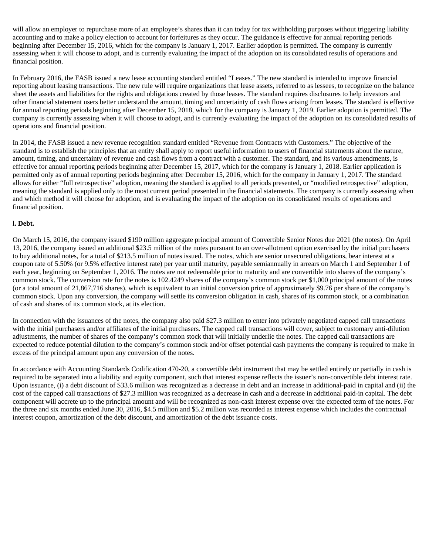will allow an employer to repurchase more of an employee's shares than it can today for tax withholding purposes without triggering liability accounting and to make a policy election to account for forfeitures as they occur. The guidance is effective for annual reporting periods beginning after December 15, 2016, which for the company is January 1, 2017. Earlier adoption is permitted. The company is currently assessing when it will choose to adopt, and is currently evaluating the impact of the adoption on its consolidated results of operations and financial position.

In February 2016, the FASB issued a new lease accounting standard entitled "Leases." The new standard is intended to improve financial reporting about leasing transactions. The new rule will require organizations that lease assets, referred to as lessees, to recognize on the balance sheet the assets and liabilities for the rights and obligations created by those leases. The standard requires disclosures to help investors and other financial statement users better understand the amount, timing and uncertainty of cash flows arising from leases. The standard is effective for annual reporting periods beginning after December 15, 2018, which for the company is January 1, 2019. Earlier adoption is permitted. The company is currently assessing when it will choose to adopt, and is currently evaluating the impact of the adoption on its consolidated results of operations and financial position.

In 2014, the FASB issued a new revenue recognition standard entitled "Revenue from Contracts with Customers." The objective of the standard is to establish the principles that an entity shall apply to report useful information to users of financial statements about the nature, amount, timing, and uncertainty of revenue and cash flows from a contract with a customer. The standard, and its various amendments, is effective for annual reporting periods beginning after December 15, 2017, which for the company is January 1, 2018. Earlier application is permitted only as of annual reporting periods beginning after December 15, 2016, which for the company in January 1, 2017. The standard allows for either "full retrospective" adoption, meaning the standard is applied to all periods presented, or "modified retrospective" adoption, meaning the standard is applied only to the most current period presented in the financial statements. The company is currently assessing when and which method it will choose for adoption, and is evaluating the impact of the adoption on its consolidated results of operations and financial position.

#### **l. Debt.**

On March 15, 2016, the company issued \$190 million aggregate principal amount of Convertible Senior Notes due 2021 (the notes). On April 13, 2016, the company issued an additional \$23.5 million of the notes pursuant to an over-allotment option exercised by the initial purchasers to buy additional notes, for a total of \$213.5 million of notes issued. The notes, which are senior unsecured obligations, bear interest at a coupon rate of 5.50% (or 9.5% effective interest rate) per year until maturity, payable semiannually in arrears on March 1 and September 1 of each year, beginning on September 1, 2016. The notes are not redeemable prior to maturity and are convertible into shares of the company's common stock. The conversion rate for the notes is 102.4249 shares of the company's common stock per \$1,000 principal amount of the notes (or a total amount of 21,867,716 shares), which is equivalent to an initial conversion price of approximately \$9.76 per share of the company's common stock. Upon any conversion, the company will settle its conversion obligation in cash, shares of its common stock, or a combination of cash and shares of its common stock, at its election.

In connection with the issuances of the notes, the company also paid \$27.3 million to enter into privately negotiated capped call transactions with the initial purchasers and/or affiliates of the initial purchasers. The capped call transactions will cover, subject to customary anti-dilution adjustments, the number of shares of the company's common stock that will initially underlie the notes. The capped call transactions are expected to reduce potential dilution to the company's common stock and/or offset potential cash payments the company is required to make in excess of the principal amount upon any conversion of the notes.

In accordance with Accounting Standards Codification 470-20, a convertible debt instrument that may be settled entirely or partially in cash is required to be separated into a liability and equity component, such that interest expense reflects the issuer's non-convertible debt interest rate. Upon issuance, (i) a debt discount of \$33.6 million was recognized as a decrease in debt and an increase in additional-paid in capital and (ii) the cost of the capped call transactions of \$27.3 million was recognized as a decrease in cash and a decrease in additional paid-in capital. The debt component will accrete up to the principal amount and will be recognized as non-cash interest expense over the expected term of the notes. For the three and six months ended June 30, 2016, \$4.5 million and \$5.2 million was recorded as interest expense which includes the contractual interest coupon, amortization of the debt discount, and amortization of the debt issuance costs.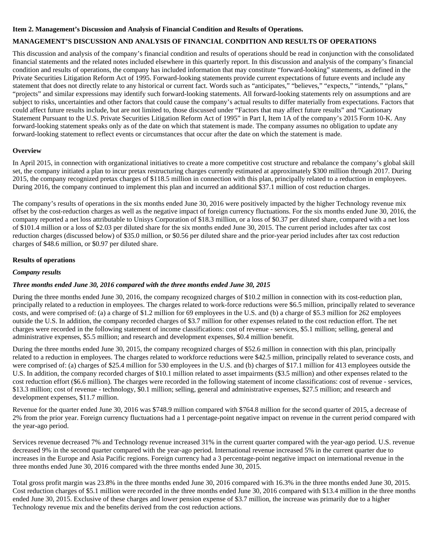#### **Item 2. Management's Discussion and Analysis of Financial Condition and Results of Operations.**

## **MANAGEMENT'S DISCUSSION AND ANALYSIS OF FINANCIAL CONDITION AND RESULTS OF OPERATIONS**

This discussion and analysis of the company's financial condition and results of operations should be read in conjunction with the consolidated financial statements and the related notes included elsewhere in this quarterly report. In this discussion and analysis of the company's financial condition and results of operations, the company has included information that may constitute "forward-looking" statements, as defined in the Private Securities Litigation Reform Act of 1995. Forward-looking statements provide current expectations of future events and include any statement that does not directly relate to any historical or current fact. Words such as "anticipates," "believes," "expects," "intends," "plans," "projects" and similar expressions may identify such forward-looking statements. All forward-looking statements rely on assumptions and are subject to risks, uncertainties and other factors that could cause the company's actual results to differ materially from expectations. Factors that could affect future results include, but are not limited to, those discussed under "Factors that may affect future results" and "Cautionary Statement Pursuant to the U.S. Private Securities Litigation Reform Act of 1995" in Part I, Item 1A of the company's 2015 Form 10-K. Any forward-looking statement speaks only as of the date on which that statement is made. The company assumes no obligation to update any forward-looking statement to reflect events or circumstances that occur after the date on which the statement is made.

#### **Overview**

In April 2015, in connection with organizational initiatives to create a more competitive cost structure and rebalance the company's global skill set, the company initiated a plan to incur pretax restructuring charges currently estimated at approximately \$300 million through 2017. During 2015, the company recognized pretax charges of \$118.5 million in connection with this plan, principally related to a reduction in employees. During 2016, the company continued to implement this plan and incurred an additional \$37.1 million of cost reduction charges.

The company's results of operations in the six months ended June 30, 2016 were positively impacted by the higher Technology revenue mix offset by the cost-reduction charges as well as the negative impact of foreign currency fluctuations. For the six months ended June 30, 2016, the company reported a net loss attributable to Unisys Corporation of \$18.3 million, or a loss of \$0.37 per diluted share, compared with a net loss of \$101.4 million or a loss of \$2.03 per diluted share for the six months ended June 30, 2015. The current period includes after tax cost reduction charges (discussed below) of \$35.0 million, or \$0.56 per diluted share and the prior-year period includes after tax cost reduction charges of \$48.6 million, or \$0.97 per diluted share.

#### **Results of operations**

#### *Company results*

#### *Three months ended June 30, 2016 compared with the three months ended June 30, 2015*

During the three months ended June 30, 2016, the company recognized charges of \$10.2 million in connection with its cost-reduction plan, principally related to a reduction in employees. The charges related to work-force reductions were \$6.5 million, principally related to severance costs, and were comprised of: (a) a charge of \$1.2 million for 69 employees in the U.S. and (b) a charge of \$5.3 million for 262 employees outside the U.S. In addition, the company recorded charges of \$3.7 million for other expenses related to the cost reduction effort. The net charges were recorded in the following statement of income classifications: cost of revenue - services, \$5.1 million; selling, general and administrative expenses, \$5.5 million; and research and development expenses, \$0.4 million benefit.

During the three months ended June 30, 2015, the company recognized charges of \$52.6 million in connection with this plan, principally related to a reduction in employees. The charges related to workforce reductions were \$42.5 million, principally related to severance costs, and were comprised of: (a) charges of \$25.4 million for 530 employees in the U.S. and (b) charges of \$17.1 million for 413 employees outside the U.S. In addition, the company recorded charges of \$10.1 million related to asset impairments (\$3.5 million) and other expenses related to the cost reduction effort (\$6.6 million). The charges were recorded in the following statement of income classifications: cost of revenue - services, \$13.3 million; cost of revenue - technology, \$0.1 million; selling, general and administrative expenses, \$27.5 million; and research and development expenses, \$11.7 million.

Revenue for the quarter ended June 30, 2016 was \$748.9 million compared with \$764.8 million for the second quarter of 2015, a decrease of 2% from the prior year. Foreign currency fluctuations had a 1 percentage-point negative impact on revenue in the current period compared with the year-ago period.

Services revenue decreased 7% and Technology revenue increased 31% in the current quarter compared with the year-ago period. U.S. revenue decreased 9% in the second quarter compared with the year-ago period. International revenue increased 5% in the current quarter due to increases in the Europe and Asia Pacific regions. Foreign currency had a 3 percentage-point negative impact on international revenue in the three months ended June 30, 2016 compared with the three months ended June 30, 2015.

Total gross profit margin was 23.8% in the three months ended June 30, 2016 compared with 16.3% in the three months ended June 30, 2015. Cost reduction charges of \$5.1 million were recorded in the three months ended June 30, 2016 compared with \$13.4 million in the three months ended June 30, 2015. Exclusive of these charges and lower pension expense of \$3.7 million, the increase was primarily due to a higher Technology revenue mix and the benefits derived from the cost reduction actions.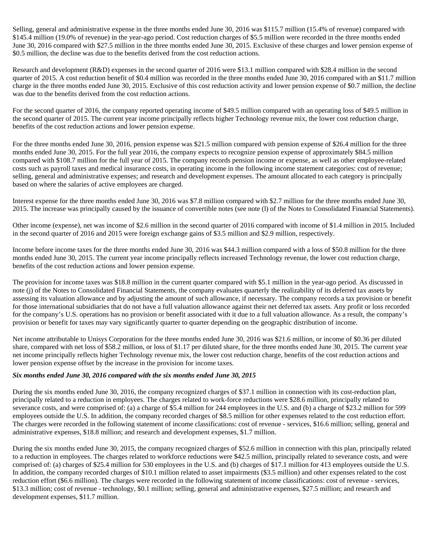Selling, general and administrative expense in the three months ended June 30, 2016 was \$115.7 million (15.4% of revenue) compared with \$145.4 million (19.0% of revenue) in the year-ago period. Cost reduction charges of \$5.5 million were recorded in the three months ended June 30, 2016 compared with \$27.5 million in the three months ended June 30, 2015. Exclusive of these charges and lower pension expense of \$0.5 million, the decline was due to the benefits derived from the cost reduction actions.

Research and development (R&D) expenses in the second quarter of 2016 were \$13.1 million compared with \$28.4 million in the second quarter of 2015. A cost reduction benefit of \$0.4 million was recorded in the three months ended June 30, 2016 compared with an \$11.7 million charge in the three months ended June 30, 2015. Exclusive of this cost reduction activity and lower pension expense of \$0.7 million, the decline was due to the benefits derived from the cost reduction actions.

For the second quarter of 2016, the company reported operating income of \$49.5 million compared with an operating loss of \$49.5 million in the second quarter of 2015. The current year income principally reflects higher Technology revenue mix, the lower cost reduction charge, benefits of the cost reduction actions and lower pension expense.

For the three months ended June 30, 2016, pension expense was \$21.5 million compared with pension expense of \$26.4 million for the three months ended June 30, 2015. For the full year 2016, the company expects to recognize pension expense of approximately \$84.5 million compared with \$108.7 million for the full year of 2015. The company records pension income or expense, as well as other employee-related costs such as payroll taxes and medical insurance costs, in operating income in the following income statement categories: cost of revenue; selling, general and administrative expenses; and research and development expenses. The amount allocated to each category is principally based on where the salaries of active employees are charged.

Interest expense for the three months ended June 30, 2016 was \$7.8 million compared with \$2.7 million for the three months ended June 30, 2015. The increase was principally caused by the issuance of convertible notes (see note (l) of the Notes to Consolidated Financial Statements).

Other income (expense), net was income of \$2.6 million in the second quarter of 2016 compared with income of \$1.4 million in 2015. Included in the second quarter of 2016 and 2015 were foreign exchange gains of \$3.5 million and \$2.9 million, respectively.

Income before income taxes for the three months ended June 30, 2016 was \$44.3 million compared with a loss of \$50.8 million for the three months ended June 30, 2015. The current year income principally reflects increased Technology revenue, the lower cost reduction charge, benefits of the cost reduction actions and lower pension expense.

The provision for income taxes was \$18.8 million in the current quarter compared with \$5.1 million in the year-ago period. As discussed in note (j) of the Notes to Consolidated Financial Statements, the company evaluates quarterly the realizability of its deferred tax assets by assessing its valuation allowance and by adjusting the amount of such allowance, if necessary. The company records a tax provision or benefit for those international subsidiaries that do not have a full valuation allowance against their net deferred tax assets. Any profit or loss recorded for the company's U.S. operations has no provision or benefit associated with it due to a full valuation allowance. As a result, the company's provision or benefit for taxes may vary significantly quarter to quarter depending on the geographic distribution of income.

Net income attributable to Unisys Corporation for the three months ended June 30, 2016 was \$21.6 million, or income of \$0.36 per diluted share, compared with net loss of \$58.2 million, or loss of \$1.17 per diluted share, for the three months ended June 30, 2015. The current year net income principally reflects higher Technology revenue mix, the lower cost reduction charge, benefits of the cost reduction actions and lower pension expense offset by the increase in the provision for income taxes.

#### *Six months ended June 30, 2016 compared with the six months ended June 30, 2015*

During the six months ended June 30, 2016, the company recognized charges of \$37.1 million in connection with its cost-reduction plan, principally related to a reduction in employees. The charges related to work-force reductions were \$28.6 million, principally related to severance costs, and were comprised of: (a) a charge of \$5.4 million for 244 employees in the U.S. and (b) a charge of \$23.2 million for 599 employees outside the U.S. In addition, the company recorded charges of \$8.5 million for other expenses related to the cost reduction effort. The charges were recorded in the following statement of income classifications: cost of revenue - services, \$16.6 million; selling, general and administrative expenses, \$18.8 million; and research and development expenses, \$1.7 million.

During the six months ended June 30, 2015, the company recognized charges of \$52.6 million in connection with this plan, principally related to a reduction in employees. The charges related to workforce reductions were \$42.5 million, principally related to severance costs, and were comprised of: (a) charges of \$25.4 million for 530 employees in the U.S. and (b) charges of \$17.1 million for 413 employees outside the U.S. In addition, the company recorded charges of \$10.1 million related to asset impairments (\$3.5 million) and other expenses related to the cost reduction effort (\$6.6 million). The charges were recorded in the following statement of income classifications: cost of revenue - services, \$13.3 million; cost of revenue - technology, \$0.1 million; selling, general and administrative expenses, \$27.5 million; and research and development expenses, \$11.7 million.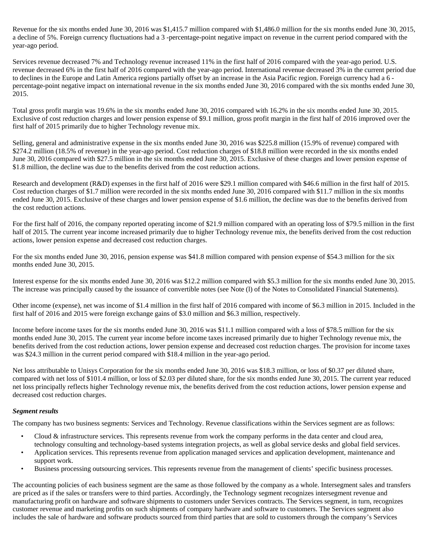Revenue for the six months ended June 30, 2016 was \$1,415.7 million compared with \$1,486.0 million for the six months ended June 30, 2015, a decline of 5%. Foreign currency fluctuations had a 3 -percentage-point negative impact on revenue in the current period compared with the year-ago period.

Services revenue decreased 7% and Technology revenue increased 11% in the first half of 2016 compared with the year-ago period. U.S. revenue decreased 6% in the first half of 2016 compared with the year-ago period. International revenue decreased 3% in the current period due to declines in the Europe and Latin America regions partially offset by an increase in the Asia Pacific region. Foreign currency had a 6 percentage-point negative impact on international revenue in the six months ended June 30, 2016 compared with the six months ended June 30, 2015.

Total gross profit margin was 19.6% in the six months ended June 30, 2016 compared with 16.2% in the six months ended June 30, 2015. Exclusive of cost reduction charges and lower pension expense of \$9.1 million, gross profit margin in the first half of 2016 improved over the first half of 2015 primarily due to higher Technology revenue mix.

Selling, general and administrative expense in the six months ended June 30, 2016 was \$225.8 million (15.9% of revenue) compared with \$274.2 million (18.5% of revenue) in the year-ago period. Cost reduction charges of \$18.8 million were recorded in the six months ended June 30, 2016 compared with \$27.5 million in the six months ended June 30, 2015. Exclusive of these charges and lower pension expense of \$1.8 million, the decline was due to the benefits derived from the cost reduction actions.

Research and development (R&D) expenses in the first half of 2016 were \$29.1 million compared with \$46.6 million in the first half of 2015. Cost reduction charges of \$1.7 million were recorded in the six months ended June 30, 2016 compared with \$11.7 million in the six months ended June 30, 2015. Exclusive of these charges and lower pension expense of \$1.6 million, the decline was due to the benefits derived from the cost reduction actions.

For the first half of 2016, the company reported operating income of \$21.9 million compared with an operating loss of \$79.5 million in the first half of 2015. The current year income increased primarily due to higher Technology revenue mix, the benefits derived from the cost reduction actions, lower pension expense and decreased cost reduction charges.

For the six months ended June 30, 2016, pension expense was \$41.8 million compared with pension expense of \$54.3 million for the six months ended June 30, 2015.

Interest expense for the six months ended June 30, 2016 was \$12.2 million compared with \$5.3 million for the six months ended June 30, 2015. The increase was principally caused by the issuance of convertible notes (see Note (l) of the Notes to Consolidated Financial Statements).

Other income (expense), net was income of \$1.4 million in the first half of 2016 compared with income of \$6.3 million in 2015. Included in the first half of 2016 and 2015 were foreign exchange gains of \$3.0 million and \$6.3 million, respectively.

Income before income taxes for the six months ended June 30, 2016 was \$11.1 million compared with a loss of \$78.5 million for the six months ended June 30, 2015. The current year income before income taxes increased primarily due to higher Technology revenue mix, the benefits derived from the cost reduction actions, lower pension expense and decreased cost reduction charges. The provision for income taxes was \$24.3 million in the current period compared with \$18.4 million in the year-ago period.

Net loss attributable to Unisys Corporation for the six months ended June 30, 2016 was \$18.3 million, or loss of \$0.37 per diluted share, compared with net loss of \$101.4 million, or loss of \$2.03 per diluted share, for the six months ended June 30, 2015. The current year reduced net loss principally reflects higher Technology revenue mix, the benefits derived from the cost reduction actions, lower pension expense and decreased cost reduction charges.

#### *Segment results*

The company has two business segments: Services and Technology. Revenue classifications within the Services segment are as follows:

- Cloud  $\&$  infrastructure services. This represents revenue from work the company performs in the data center and cloud area, technology consulting and technology-based systems integration projects, as well as global service desks and global field services.
- Application services. This represents revenue from application managed services and application development, maintenance and support work.
- Business processing outsourcing services. This represents revenue from the management of clients' specific business processes.

The accounting policies of each business segment are the same as those followed by the company as a whole. Intersegment sales and transfers are priced as if the sales or transfers were to third parties. Accordingly, the Technology segment recognizes intersegment revenue and manufacturing profit on hardware and software shipments to customers under Services contracts. The Services segment, in turn, recognizes customer revenue and marketing profits on such shipments of company hardware and software to customers. The Services segment also includes the sale of hardware and software products sourced from third parties that are sold to customers through the company's Services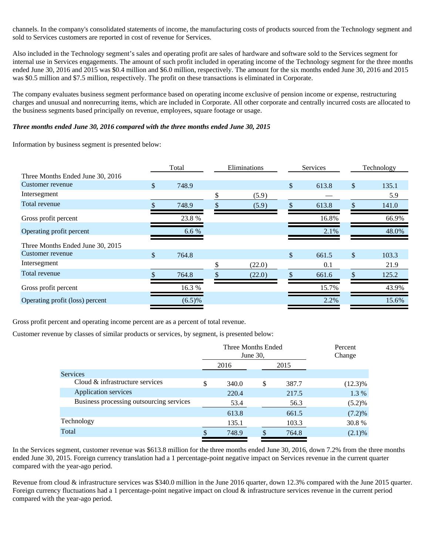channels. In the company's consolidated statements of income, the manufacturing costs of products sourced from the Technology segment and sold to Services customers are reported in cost of revenue for Services.

Also included in the Technology segment's sales and operating profit are sales of hardware and software sold to the Services segment for internal use in Services engagements. The amount of such profit included in operating income of the Technology segment for the three months ended June 30, 2016 and 2015 was \$0.4 million and \$6.0 million, respectively. The amount for the six months ended June 30, 2016 and 2015 was \$0.5 million and \$7.5 million, respectively. The profit on these transactions is eliminated in Corporate.

The company evaluates business segment performance based on operating income exclusive of pension income or expense, restructuring charges and unusual and nonrecurring items, which are included in Corporate. All other corporate and centrally incurred costs are allocated to the business segments based principally on revenue, employees, square footage or usage.

#### *Three months ended June 30, 2016 compared with the three months ended June 30, 2015*

Information by business segment is presented below:

|                                  |              | Total     | Eliminations |               | <b>Services</b> | Technology    |       |
|----------------------------------|--------------|-----------|--------------|---------------|-----------------|---------------|-------|
| Three Months Ended June 30, 2016 |              |           |              |               |                 |               |       |
| Customer revenue                 | \$           | 748.9     |              | $\mathcal{S}$ | 613.8           | $\mathcal{S}$ | 135.1 |
| Intersegment                     |              |           | \$<br>(5.9)  |               |                 |               | 5.9   |
| Total revenue                    |              | 748.9     | \$<br>(5.9)  | \$            | 613.8           | \$            | 141.0 |
| Gross profit percent             |              | 23.8 %    |              |               | 16.8%           |               | 66.9% |
| Operating profit percent         |              | 6.6 %     |              |               | 2.1%            |               | 48.0% |
| Three Months Ended June 30, 2015 |              |           |              |               |                 |               |       |
| Customer revenue                 | $\mathbb{S}$ | 764.8     |              | $\mathcal{S}$ | 661.5           | \$            | 103.3 |
| Intersegment                     |              |           | \$<br>(22.0) |               | 0.1             |               | 21.9  |
| Total revenue                    | \$           | 764.8     | \$<br>(22.0) | $\mathcal{S}$ | 661.6           | \$            | 125.2 |
| Gross profit percent             |              | 16.3 %    |              |               | 15.7%           |               | 43.9% |
| Operating profit (loss) percent  |              | $(6.5)\%$ |              |               | 2.2%            |               | 15.6% |

Gross profit percent and operating income percent are as a percent of total revenue.

Customer revenue by classes of similar products or services, by segment, is presented below:

|                                          | Three Months Ended<br>June $30$ , |   | Percent<br>Change |            |
|------------------------------------------|-----------------------------------|---|-------------------|------------|
|                                          | 2016                              |   | 2015              |            |
| <b>Services</b>                          |                                   |   |                   |            |
| Cloud & infrastructure services          | \$<br>340.0                       | S | 387.7             | $(12.3)\%$ |
| Application services                     | 220.4                             |   | 217.5             | 1.3 %      |
| Business processing outsourcing services | 53.4                              |   | 56.3              | $(5.2)\%$  |
|                                          | 613.8                             |   | 661.5             | $(7.2)\%$  |
| Technology                               | 135.1                             |   | 103.3             | 30.8%      |
| Total                                    | 748.9                             |   | 764.8             | (2.1)%     |
|                                          |                                   |   |                   |            |

In the Services segment, customer revenue was \$613.8 million for the three months ended June 30, 2016, down 7.2% from the three months ended June 30, 2015. Foreign currency translation had a 1 percentage-point negative impact on Services revenue in the current quarter compared with the year-ago period.

Revenue from cloud & infrastructure services was \$340.0 million in the June 2016 quarter, down 12.3% compared with the June 2015 quarter. Foreign currency fluctuations had a 1 percentage-point negative impact on cloud & infrastructure services revenue in the current period compared with the year-ago period.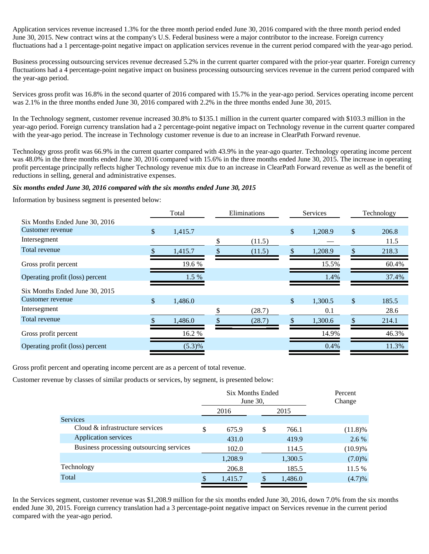Application services revenue increased 1.3% for the three month period ended June 30, 2016 compared with the three month period ended June 30, 2015. New contract wins at the company's U.S. Federal business were a major contributor to the increase. Foreign currency fluctuations had a 1 percentage-point negative impact on application services revenue in the current period compared with the year-ago period.

Business processing outsourcing services revenue decreased 5.2% in the current quarter compared with the prior-year quarter. Foreign currency fluctuations had a 4 percentage-point negative impact on business processing outsourcing services revenue in the current period compared with the year-ago period.

Services gross profit was 16.8% in the second quarter of 2016 compared with 15.7% in the year-ago period. Services operating income percent was 2.1% in the three months ended June 30, 2016 compared with 2.2% in the three months ended June 30, 2015.

In the Technology segment, customer revenue increased 30.8% to \$135.1 million in the current quarter compared with \$103.3 million in the year-ago period. Foreign currency translation had a 2 percentage-point negative impact on Technology revenue in the current quarter compared with the year-ago period. The increase in Technology customer revenue is due to an increase in ClearPath Forward revenue.

Technology gross profit was 66.9% in the current quarter compared with 43.9% in the year-ago quarter. Technology operating income percent was 48.0% in the three months ended June 30, 2016 compared with 15.6% in the three months ended June 30, 2015. The increase in operating profit percentage principally reflects higher Technology revenue mix due to an increase in ClearPath Forward revenue as well as the benefit of reductions in selling, general and administrative expenses.

#### *Six months ended June 30, 2016 compared with the six months ended June 30, 2015*

Information by business segment is presented below:

|                                 |               | Total   |    | Eliminations | Services      | Technology  |
|---------------------------------|---------------|---------|----|--------------|---------------|-------------|
| Six Months Ended June 30, 2016  |               |         |    |              |               |             |
| Customer revenue                | $\mathbb{S}$  | 1,415.7 |    |              | \$<br>1,208.9 | \$<br>206.8 |
| Intersegment                    |               |         | \$ | (11.5)       |               | 11.5        |
| Total revenue                   |               | 1,415.7 |    | (11.5)       | \$<br>1,208.9 | 218.3       |
| Gross profit percent            |               | 19.6%   |    |              | 15.5%         | 60.4%       |
| Operating profit (loss) percent |               | 1.5 %   |    |              | 1.4%          | 37.4%       |
| Six Months Ended June 30, 2015  |               |         |    |              |               |             |
| Customer revenue                |               |         |    |              |               |             |
|                                 | $\mathcal{S}$ | 1,486.0 |    |              | \$<br>1,300.5 | \$<br>185.5 |
| Intersegment                    |               |         | ъ. | (28.7)       | 0.1           | 28.6        |
| Total revenue                   |               | 1,486.0 |    | (28.7)       | 1,300.6       | 214.1       |
| Gross profit percent            |               | 16.2%   |    |              | 14.9%         | 46.3%       |

Gross profit percent and operating income percent are as a percent of total revenue.

Customer revenue by classes of similar products or services, by segment, is presented below:

|                                          | <b>Six Months Ended</b><br>June 30, |         |      |         | Percent<br>Change |
|------------------------------------------|-------------------------------------|---------|------|---------|-------------------|
|                                          | 2016                                |         | 2015 |         |                   |
| <b>Services</b>                          |                                     |         |      |         |                   |
| Cloud & infrastructure services          | \$                                  | 675.9   | \$   | 766.1   | $(11.8)\%$        |
| Application services                     |                                     | 431.0   |      | 419.9   | 2.6 %             |
| Business processing outsourcing services |                                     | 102.0   |      | 114.5   | $(10.9)\%$        |
|                                          |                                     | 1,208.9 |      | 1,300.5 | $(7.0)\%$         |
| Technology                               |                                     | 206.8   |      | 185.5   | 11.5 %            |
| Total                                    |                                     | 1,415.7 |      | 1,486.0 | (4.7)%            |
|                                          |                                     |         |      |         |                   |

In the Services segment, customer revenue was \$1,208.9 million for the six months ended June 30, 2016, down 7.0% from the six months ended June 30, 2015. Foreign currency translation had a 3 percentage-point negative impact on Services revenue in the current period compared with the year-ago period.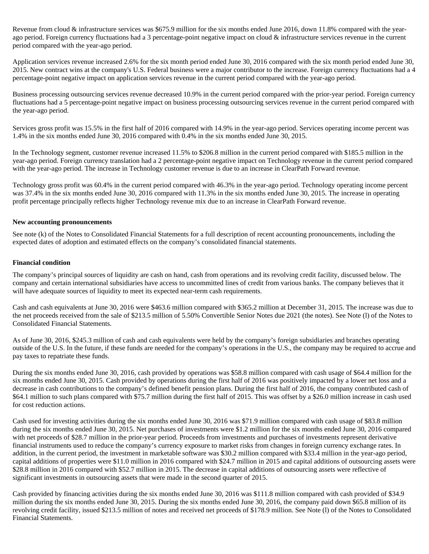Revenue from cloud & infrastructure services was \$675.9 million for the six months ended June 2016, down 11.8% compared with the yearago period. Foreign currency fluctuations had a 3 percentage-point negative impact on cloud & infrastructure services revenue in the current period compared with the year-ago period.

Application services revenue increased 2.6% for the six month period ended June 30, 2016 compared with the six month period ended June 30, 2015. New contract wins at the company's U.S. Federal business were a major contributor to the increase. Foreign currency fluctuations had a 4 percentage-point negative impact on application services revenue in the current period compared with the year-ago period.

Business processing outsourcing services revenue decreased 10.9% in the current period compared with the prior-year period. Foreign currency fluctuations had a 5 percentage-point negative impact on business processing outsourcing services revenue in the current period compared with the year-ago period.

Services gross profit was 15.5% in the first half of 2016 compared with 14.9% in the year-ago period. Services operating income percent was 1.4% in the six months ended June 30, 2016 compared with 0.4% in the six months ended June 30, 2015.

In the Technology segment, customer revenue increased 11.5% to \$206.8 million in the current period compared with \$185.5 million in the year-ago period. Foreign currency translation had a 2 percentage-point negative impact on Technology revenue in the current period compared with the year-ago period. The increase in Technology customer revenue is due to an increase in ClearPath Forward revenue.

Technology gross profit was 60.4% in the current period compared with 46.3% in the year-ago period. Technology operating income percent was 37.4% in the six months ended June 30, 2016 compared with 11.3% in the six months ended June 30, 2015. The increase in operating profit percentage principally reflects higher Technology revenue mix due to an increase in ClearPath Forward revenue.

#### **New accounting pronouncements**

See note (k) of the Notes to Consolidated Financial Statements for a full description of recent accounting pronouncements, including the expected dates of adoption and estimated effects on the company's consolidated financial statements.

#### **Financial condition**

The company's principal sources of liquidity are cash on hand, cash from operations and its revolving credit facility, discussed below. The company and certain international subsidiaries have access to uncommitted lines of credit from various banks. The company believes that it will have adequate sources of liquidity to meet its expected near-term cash requirements.

Cash and cash equivalents at June 30, 2016 were \$463.6 million compared with \$365.2 million at December 31, 2015. The increase was due to the net proceeds received from the sale of \$213.5 million of 5.50% Convertible Senior Notes due 2021 (the notes). See Note (l) of the Notes to Consolidated Financial Statements.

As of June 30, 2016, \$245.3 million of cash and cash equivalents were held by the company's foreign subsidiaries and branches operating outside of the U.S. In the future, if these funds are needed for the company's operations in the U.S., the company may be required to accrue and pay taxes to repatriate these funds.

During the six months ended June 30, 2016, cash provided by operations was \$58.8 million compared with cash usage of \$64.4 million for the six months ended June 30, 2015. Cash provided by operations during the first half of 2016 was positively impacted by a lower net loss and a decrease in cash contributions to the company's defined benefit pension plans. During the first half of 2016, the company contributed cash of \$64.1 million to such plans compared with \$75.7 million during the first half of 2015. This was offset by a \$26.0 million increase in cash used for cost reduction actions.

Cash used for investing activities during the six months ended June 30, 2016 was \$71.9 million compared with cash usage of \$83.8 million during the six months ended June 30, 2015. Net purchases of investments were \$1.2 million for the six months ended June 30, 2016 compared with net proceeds of \$28.7 million in the prior-year period. Proceeds from investments and purchases of investments represent derivative financial instruments used to reduce the company's currency exposure to market risks from changes in foreign currency exchange rates. In addition, in the current period, the investment in marketable software was \$30.2 million compared with \$33.4 million in the year-ago period, capital additions of properties were \$11.0 million in 2016 compared with \$24.7 million in 2015 and capital additions of outsourcing assets were \$28.8 million in 2016 compared with \$52.7 million in 2015. The decrease in capital additions of outsourcing assets were reflective of significant investments in outsourcing assets that were made in the second quarter of 2015.

Cash provided by financing activities during the six months ended June 30, 2016 was \$111.8 million compared with cash provided of \$34.9 million during the six months ended June 30, 2015. During the six months ended June 30, 2016, the company paid down \$65.8 million of its revolving credit facility, issued \$213.5 million of notes and received net proceeds of \$178.9 million. See Note (l) of the Notes to Consolidated Financial Statements.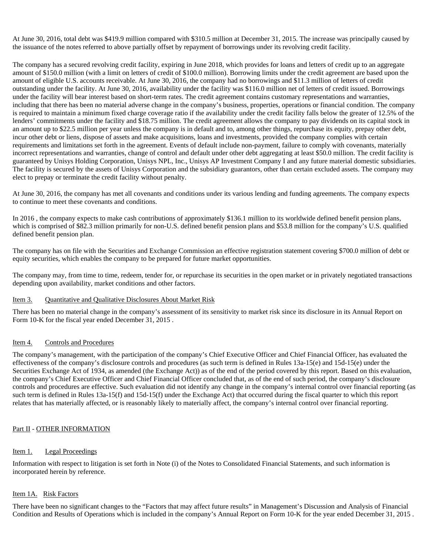At June 30, 2016, total debt was \$419.9 million compared with \$310.5 million at December 31, 2015. The increase was principally caused by the issuance of the notes referred to above partially offset by repayment of borrowings under its revolving credit facility.

The company has a secured revolving credit facility, expiring in June 2018, which provides for loans and letters of credit up to an aggregate amount of \$150.0 million (with a limit on letters of credit of \$100.0 million). Borrowing limits under the credit agreement are based upon the amount of eligible U.S. accounts receivable. At June 30, 2016, the company had no borrowings and \$11.3 million of letters of credit outstanding under the facility. At June 30, 2016, availability under the facility was \$116.0 million net of letters of credit issued. Borrowings under the facility will bear interest based on short-term rates. The credit agreement contains customary representations and warranties, including that there has been no material adverse change in the company's business, properties, operations or financial condition. The company is required to maintain a minimum fixed charge coverage ratio if the availability under the credit facility falls below the greater of 12.5% of the lenders' commitments under the facility and \$18.75 million. The credit agreement allows the company to pay dividends on its capital stock in an amount up to \$22.5 million per year unless the company is in default and to, among other things, repurchase its equity, prepay other debt, incur other debt or liens, dispose of assets and make acquisitions, loans and investments, provided the company complies with certain requirements and limitations set forth in the agreement. Events of default include non-payment, failure to comply with covenants, materially incorrect representations and warranties, change of control and default under other debt aggregating at least \$50.0 million. The credit facility is guaranteed by Unisys Holding Corporation, Unisys NPL, Inc., Unisys AP Investment Company I and any future material domestic subsidiaries. The facility is secured by the assets of Unisys Corporation and the subsidiary guarantors, other than certain excluded assets. The company may elect to prepay or terminate the credit facility without penalty.

At June 30, 2016, the company has met all covenants and conditions under its various lending and funding agreements. The company expects to continue to meet these covenants and conditions.

In 2016 , the company expects to make cash contributions of approximately \$136.1 million to its worldwide defined benefit pension plans, which is comprised of \$82.3 million primarily for non-U.S. defined benefit pension plans and \$53.8 million for the company's U.S. qualified defined benefit pension plan.

The company has on file with the Securities and Exchange Commission an effective registration statement covering \$700.0 million of debt or equity securities, which enables the company to be prepared for future market opportunities.

The company may, from time to time, redeem, tender for, or repurchase its securities in the open market or in privately negotiated transactions depending upon availability, market conditions and other factors.

#### Item 3. Quantitative and Qualitative Disclosures About Market Risk

There has been no material change in the company's assessment of its sensitivity to market risk since its disclosure in its Annual Report on Form 10-K for the fiscal year ended December 31, 2015 .

#### Item 4. Controls and Procedures

The company's management, with the participation of the company's Chief Executive Officer and Chief Financial Officer, has evaluated the effectiveness of the company's disclosure controls and procedures (as such term is defined in Rules 13a-15(e) and 15d-15(e) under the Securities Exchange Act of 1934, as amended (the Exchange Act)) as of the end of the period covered by this report. Based on this evaluation, the company's Chief Executive Officer and Chief Financial Officer concluded that, as of the end of such period, the company's disclosure controls and procedures are effective. Such evaluation did not identify any change in the company's internal control over financial reporting (as such term is defined in Rules 13a-15(f) and 15d-15(f) under the Exchange Act) that occurred during the fiscal quarter to which this report relates that has materially affected, or is reasonably likely to materially affect, the company's internal control over financial reporting.

#### Part II - OTHER INFORMATION

#### Item 1. Legal Proceedings

Information with respect to litigation is set forth in Note (i) of the Notes to Consolidated Financial Statements, and such information is incorporated herein by reference.

#### Item 1A. Risk Factors

There have been no significant changes to the "Factors that may affect future results" in Management's Discussion and Analysis of Financial Condition and Results of Operations which is included in the company's Annual Report on Form 10-K for the year ended December 31, 2015 .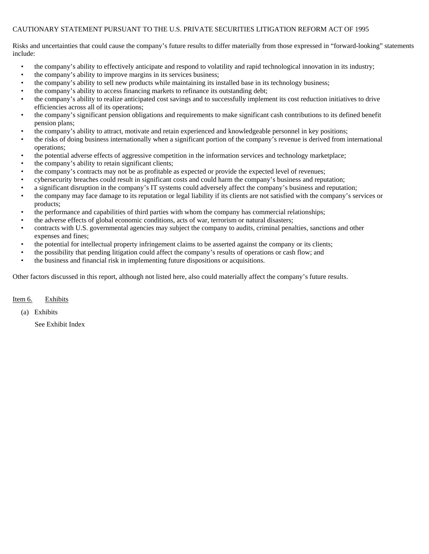## CAUTIONARY STATEMENT PURSUANT TO THE U.S. PRIVATE SECURITIES LITIGATION REFORM ACT OF 1995

Risks and uncertainties that could cause the company's future results to differ materially from those expressed in "forward-looking" statements include:

- the company's ability to effectively anticipate and respond to volatility and rapid technological innovation in its industry;<br>the company's ability to improve margins in its services business;<br>the company's ability to sell
- 
- 
- the company's ability to access financing markets to refinance its outstanding debt;
- the company's ability to realize anticipated cost savings and to successfully implement its cost reduction initiatives to drive
- efficiencies across all of its operations;<br>the company's significant pension obligations and requirements to make significant cash contributions to its defined benefit pension plans;<br>the company's ability to attract, motivate and retain experienced and knowledgeable personnel in key positions;
- 
- the risks of doing business internationally when a significant portion of the company's revenue is derived from international
- operations;<br>the potential adverse effects of aggressive competition in the information services and technology marketplace;<br>the company's ability to retain significant clients;<br>the company's contracts may not be as profita
- 
- 
- cybersecurity breaches could result in significant costs and could harm the company's business and reputation;
- a significant disruption in the company's IT systems could adversely affect the company's business and reputation;
- the company may face damage to its reputation or legal liability if its clients are not satisfied with the company's services or products;
- the performance and capabilities of third parties with whom the company has commercial relationships;
- the adverse effects of global economic conditions, acts of war, terrorism or natural disasters;
- contracts with U.S. governmental agencies may subject the company to audits, criminal penalties, sanctions and other expenses and fines;
- the potential for intellectual property infringement claims to be asserted against the company or its clients;
- the possibility that pending litigation could affect the company's results of operations or cash flow; and
- the business and financial risk in implementing future dispositions or acquisitions.

Other factors discussed in this report, although not listed here, also could materially affect the company's future results.

#### Item 6. Exhibits

(a) Exhibits

See Exhibit Index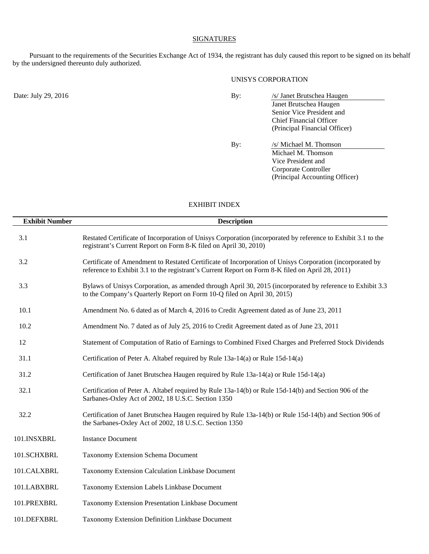## **SIGNATURES**

Pursuant to the requirements of the Securities Exchange Act of 1934, the registrant has duly caused this report to be signed on its behalf by the undersigned thereunto duly authorized.

UNISYS CORPORATION

| Date: July 29, 2016 | By: | /s/ Janet Brutschea Haugen<br>Janet Brutschea Haugen<br>Senior Vice President and<br><b>Chief Financial Officer</b> |
|---------------------|-----|---------------------------------------------------------------------------------------------------------------------|
|                     | By: | (Principal Financial Officer)<br>/s/ Michael M. Thomson                                                             |
|                     |     | Michael M. Thomson<br>Vice President and<br>Corporate Controller<br>(Principal Accounting Officer)                  |

# EXHIBIT INDEX

| <b>Exhibit Number</b> | <b>Description</b>                                                                                                                                                                                           |
|-----------------------|--------------------------------------------------------------------------------------------------------------------------------------------------------------------------------------------------------------|
| 3.1                   | Restated Certificate of Incorporation of Unisys Corporation (incorporated by reference to Exhibit 3.1 to the<br>registrant's Current Report on Form 8-K filed on April 30, 2010)                             |
| 3.2                   | Certificate of Amendment to Restated Certificate of Incorporation of Unisys Corporation (incorporated by<br>reference to Exhibit 3.1 to the registrant's Current Report on Form 8-K filed on April 28, 2011) |
| 3.3                   | Bylaws of Unisys Corporation, as amended through April 30, 2015 (incorporated by reference to Exhibit 3.3<br>to the Company's Quarterly Report on Form 10-Q filed on April 30, 2015)                         |
| 10.1                  | Amendment No. 6 dated as of March 4, 2016 to Credit Agreement dated as of June 23, 2011                                                                                                                      |
| 10.2                  | Amendment No. 7 dated as of July 25, 2016 to Credit Agreement dated as of June 23, 2011                                                                                                                      |
| 12                    | Statement of Computation of Ratio of Earnings to Combined Fixed Charges and Preferred Stock Dividends                                                                                                        |
| 31.1                  | Certification of Peter A. Altabef required by Rule 13a-14(a) or Rule 15d-14(a)                                                                                                                               |
| 31.2                  | Certification of Janet Brutschea Haugen required by Rule 13a-14(a) or Rule 15d-14(a)                                                                                                                         |
| 32.1                  | Certification of Peter A. Altabef required by Rule 13a-14(b) or Rule 15d-14(b) and Section 906 of the<br>Sarbanes-Oxley Act of 2002, 18 U.S.C. Section 1350                                                  |
| 32.2                  | Certification of Janet Brutschea Haugen required by Rule 13a-14(b) or Rule 15d-14(b) and Section 906 of<br>the Sarbanes-Oxley Act of 2002, 18 U.S.C. Section 1350                                            |
| 101.INSXBRL           | <b>Instance Document</b>                                                                                                                                                                                     |
| 101.SCHXBRL           | Taxonomy Extension Schema Document                                                                                                                                                                           |
| 101.CALXBRL           | Taxonomy Extension Calculation Linkbase Document                                                                                                                                                             |
| 101.LABXBRL           | Taxonomy Extension Labels Linkbase Document                                                                                                                                                                  |
| 101.PREXBRL           | Taxonomy Extension Presentation Linkbase Document                                                                                                                                                            |
| 101.DEFXBRL           | Taxonomy Extension Definition Linkbase Document                                                                                                                                                              |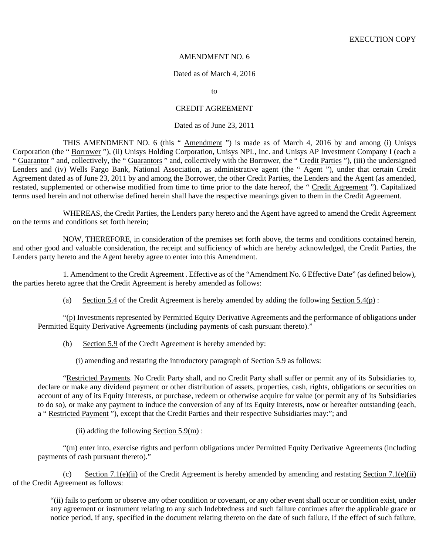#### AMENDMENT NO. 6

#### Dated as of March 4, 2016

to

## CREDIT AGREEMENT

#### Dated as of June 23, 2011

THIS AMENDMENT NO. 6 (this "Amendment") is made as of March 4, 2016 by and among (i) Unisys Corporation (the " Borrower "), (ii) Unisys Holding Corporation, Unisys NPL, Inc. and Unisys AP Investment Company I (each a " Guarantor " and, collectively, the " Guarantors " and, collectively with the Borrower, the " Credit Parties "), (iii) the undersigned Lenders and (iv) Wells Fargo Bank, National Association, as administrative agent (the "Agent"), under that certain Credit Agreement dated as of June 23, 2011 by and among the Borrower, the other Credit Parties, the Lenders and the Agent (as amended, restated, supplemented or otherwise modified from time to time prior to the date hereof, the " Credit Agreement "). Capitalized terms used herein and not otherwise defined herein shall have the respective meanings given to them in the Credit Agreement.

WHEREAS, the Credit Parties, the Lenders party hereto and the Agent have agreed to amend the Credit Agreement on the terms and conditions set forth herein;

NOW, THEREFORE, in consideration of the premises set forth above, the terms and conditions contained herein, and other good and valuable consideration, the receipt and sufficiency of which are hereby acknowledged, the Credit Parties, the Lenders party hereto and the Agent hereby agree to enter into this Amendment.

1. Amendment to the Credit Agreement . Effective as of the "Amendment No. 6 Effective Date" (as defined below), the parties hereto agree that the Credit Agreement is hereby amended as follows:

(a) Section 5.4 of the Credit Agreement is hereby amended by adding the following Section  $5.4(p)$ :

"(p) Investments represented by Permitted Equity Derivative Agreements and the performance of obligations under Permitted Equity Derivative Agreements (including payments of cash pursuant thereto)."

- (b) Section 5.9 of the Credit Agreement is hereby amended by:
	- (i) amending and restating the introductory paragraph of Section 5.9 as follows:

"Restricted Payments. No Credit Party shall, and no Credit Party shall suffer or permit any of its Subsidiaries to, declare or make any dividend payment or other distribution of assets, properties, cash, rights, obligations or securities on account of any of its Equity Interests, or purchase, redeem or otherwise acquire for value (or permit any of its Subsidiaries to do so), or make any payment to induce the conversion of any of its Equity Interests, now or hereafter outstanding (each, a " Restricted Payment "), except that the Credit Parties and their respective Subsidiaries may:"; and

(ii) adding the following Section  $5.9(m)$ :

"(m) enter into, exercise rights and perform obligations under Permitted Equity Derivative Agreements (including payments of cash pursuant thereto)."

(c) Section 7.1(e)(ii) of the Credit Agreement is hereby amended by amending and restating Section 7.1(e)(ii) of the Credit Agreement as follows:

"(ii) fails to perform or observe any other condition or covenant, or any other event shall occur or condition exist, under any agreement or instrument relating to any such Indebtedness and such failure continues after the applicable grace or notice period, if any, specified in the document relating thereto on the date of such failure, if the effect of such failure,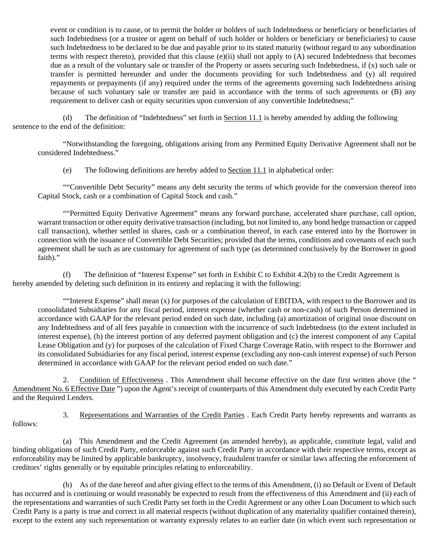event or condition is to cause, or to permit the holder or holders of such Indebtedness or beneficiary or beneficiaries of such Indebtedness (or a trustee or agent on behalf of such holder or holders or beneficiary or beneficiaries) to cause such Indebtedness to be declared to be due and payable prior to its stated maturity (without regard to any subordination terms with respect thereto), provided that this clause (e)(ii) shall not apply to (A) secured Indebtedness that becomes due as a result of the voluntary sale or transfer of the Property or assets securing such Indebtedness, if (x) such sale or transfer is permitted hereunder and under the documents providing for such Indebtedness and (y) all required repayments or prepayments (if any) required under the terms of the agreements governing such Indebtedness arising because of such voluntary sale or transfer are paid in accordance with the terms of such agreements or (B) any requirement to deliver cash or equity securities upon conversion of any convertible Indebtedness;"

(d) The definition of "Indebtedness" set forth in Section 11.1 is hereby amended by adding the following sentence to the end of the definition:

"Notwithstanding the foregoing, obligations arising from any Permitted Equity Derivative Agreement shall not be considered Indebtedness."

(e) The following definitions are hereby added to Section 11.1 in alphabetical order:

""Convertible Debt Security" means any debt security the terms of which provide for the conversion thereof into Capital Stock, cash or a combination of Capital Stock and cash."

""Permitted Equity Derivative Agreement" means any forward purchase, accelerated share purchase, call option, warrant transaction or other equity derivative transaction (including, but not limited to, any bond hedge transaction or capped call transaction), whether settled in shares, cash or a combination thereof, in each case entered into by the Borrower in connection with the issuance of Convertible Debt Securities; provided that the terms, conditions and covenants of each such agreement shall be such as are customary for agreement of such type (as determined conclusively by the Borrower in good faith)."

(f) The definition of "Interest Expense" set forth in Exhibit C to Exhibit 4.2(b) to the Credit Agreement is hereby amended by deleting such definition in its entirety and replacing it with the following:

"The est Expense" shall mean (x) for purposes of the calculation of EBITDA, with respect to the Borrower and its consolidated Subsidiaries for any fiscal period, interest expense (whether cash or non-cash) of such Person determined in accordance with GAAP for the relevant period ended on such date, including (a) amortization of original issue discount on any Indebtedness and of all fees payable in connection with the incurrence of such Indebtedness (to the extent included in interest expense), (b) the interest portion of any deferred payment obligation and (c) the interest component of any Capital Lease Obligation and (y) for purposes of the calculation of Fixed Charge Coverage Ratio, with respect to the Borrower and its consolidated Subsidiaries for any fiscal period, interest expense (excluding any non-cash interest expense) of such Person determined in accordance with GAAP for the relevant period ended on such date."

2. Condition of Effectiveness . This Amendment shall become effective on the date first written above (the " Amendment No. 6 Effective Date ") upon the Agent's receipt of counterparts of this Amendment duly executed by each Credit Party and the Required Lenders.

follows:

3. Representations and Warranties of the Credit Parties . Each Credit Party hereby represents and warrants as

(a) This Amendment and the Credit Agreement (as amended hereby), as applicable, constitute legal, valid and binding obligations of such Credit Party, enforceable against such Credit Party in accordance with their respective terms, except as enforceability may be limited by applicable bankruptcy, insolvency, fraudulent transfer or similar laws affecting the enforcement of creditors' rights generally or by equitable principles relating to enforceability.

(b) As of the date hereof and after giving effect to the terms of this Amendment, (i) no Default or Event of Default has occurred and is continuing or would reasonably be expected to result from the effectiveness of this Amendment and (ii) each of the representations and warranties of such Credit Party set forth in the Credit Agreement or any other Loan Document to which such Credit Party is a party is true and correct in all material respects (without duplication of any materiality qualifier contained therein), except to the extent any such representation or warranty expressly relates to an earlier date (in which event such representation or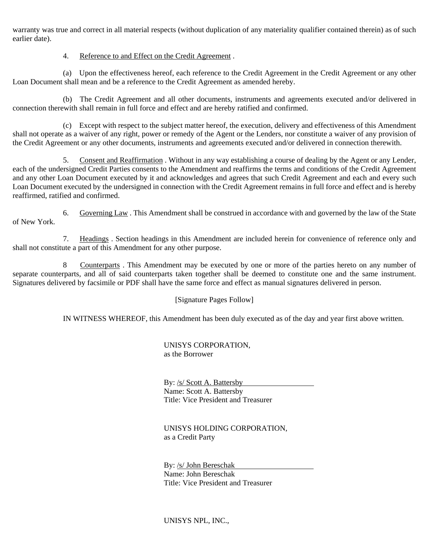warranty was true and correct in all material respects (without duplication of any materiality qualifier contained therein) as of such earlier date).

# 4. Reference to and Effect on the Credit Agreement .

(a) Upon the effectiveness hereof, each reference to the Credit Agreement in the Credit Agreement or any other Loan Document shall mean and be a reference to the Credit Agreement as amended hereby.

(b) The Credit Agreement and all other documents, instruments and agreements executed and/or delivered in connection therewith shall remain in full force and effect and are hereby ratified and confirmed.

(c) Except with respect to the subject matter hereof, the execution, delivery and effectiveness of this Amendment shall not operate as a waiver of any right, power or remedy of the Agent or the Lenders, nor constitute a waiver of any provision of the Credit Agreement or any other documents, instruments and agreements executed and/or delivered in connection therewith.

5. Consent and Reaffirmation . Without in any way establishing a course of dealing by the Agent or any Lender, each of the undersigned Credit Parties consents to the Amendment and reaffirms the terms and conditions of the Credit Agreement and any other Loan Document executed by it and acknowledges and agrees that such Credit Agreement and each and every such Loan Document executed by the undersigned in connection with the Credit Agreement remains in full force and effect and is hereby reaffirmed, ratified and confirmed.

6. Governing Law . This Amendment shall be construed in accordance with and governed by the law of the State of New York.

7. Headings . Section headings in this Amendment are included herein for convenience of reference only and shall not constitute a part of this Amendment for any other purpose.

8 Counterparts . This Amendment may be executed by one or more of the parties hereto on any number of separate counterparts, and all of said counterparts taken together shall be deemed to constitute one and the same instrument. Signatures delivered by facsimile or PDF shall have the same force and effect as manual signatures delivered in person.

# [Signature Pages Follow]

IN WITNESS WHEREOF, this Amendment has been duly executed as of the day and year first above written.

UNISYS CORPORATION, as the Borrower

By: /s/ Scott A. Battersby Name: Scott A. Battersby Title: Vice President and Treasurer

UNISYS HOLDING CORPORATION, as a Credit Party

By: /s/ John Bereschak Name: John Bereschak Title: Vice President and Treasurer

UNISYS NPL, INC.,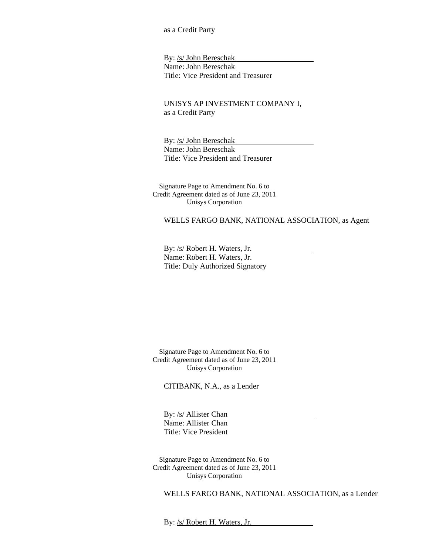as a Credit Party

By: /s/ John Bereschak Name: John Bereschak Title: Vice President and Treasurer

UNISYS AP INVESTMENT COMPANY I, as a Credit Party

By: /s/ John Bereschak Name: John Bereschak Title: Vice President and Treasurer

Signature Page to Amendment No. 6 to Credit Agreement dated as of June 23, 2011 Unisys Corporation

# WELLS FARGO BANK, NATIONAL ASSOCIATION, as Agent

By: /s/ Robert H. Waters, Jr. Name: Robert H. Waters, Jr. Title: Duly Authorized Signatory

Signature Page to Amendment No. 6 to Credit Agreement dated as of June 23, 2011 Unisys Corporation

CITIBANK, N.A., as a Lender

By: /s/ Allister Chan Name: Allister Chan Title: Vice President

Signature Page to Amendment No. 6 to Credit Agreement dated as of June 23, 2011 Unisys Corporation

WELLS FARGO BANK, NATIONAL ASSOCIATION, as a Lender

By: /s/ Robert H. Waters, Jr.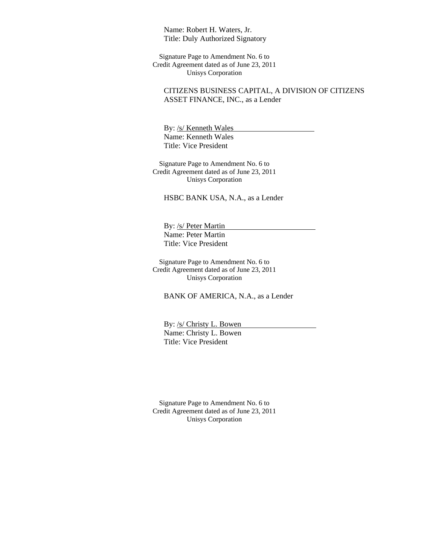Name: Robert H. Waters, Jr. Title: Duly Authorized Signatory

Signature Page to Amendment No. 6 to Credit Agreement dated as of June 23, 2011 Unisys Corporation

# CITIZENS BUSINESS CAPITAL, A DIVISION OF CITIZENS ASSET FINANCE, INC., as a Lender

By: /s/ Kenneth Wales Name: Kenneth Wales Title: Vice President

Signature Page to Amendment No. 6 to Credit Agreement dated as of June 23, 2011 Unisys Corporation

HSBC BANK USA, N.A., as a Lender

By: /s/ Peter Martin Name: Peter Martin Title: Vice President

Signature Page to Amendment No. 6 to Credit Agreement dated as of June 23, 2011 Unisys Corporation

BANK OF AMERICA, N.A., as a Lender

By: /s/ Christy L. Bowen Name: Christy L. Bowen Title: Vice President

Signature Page to Amendment No. 6 to Credit Agreement dated as of June 23, 2011 Unisys Corporation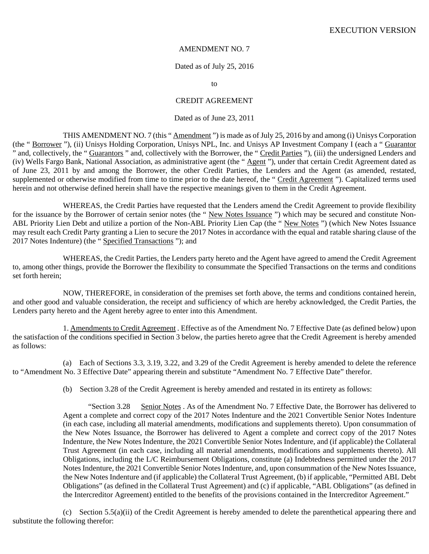## AMENDMENT NO. 7

#### Dated as of July 25, 2016

to

# CREDIT AGREEMENT

#### Dated as of June 23, 2011

THIS AMENDMENT NO. 7 (this " Amendment ") is made as of July 25, 2016 by and among (i) Unisys Corporation (the " Borrower "), (ii) Unisys Holding Corporation, Unisys NPL, Inc. and Unisys AP Investment Company I (each a " Guarantor " and, collectively, the " Guarantors " and, collectively with the Borrower, the " Credit Parties "), (iii) the undersigned Lenders and (iv) Wells Fargo Bank, National Association, as administrative agent (the " Agent "), under that certain Credit Agreement dated as of June 23, 2011 by and among the Borrower, the other Credit Parties, the Lenders and the Agent (as amended, restated, supplemented or otherwise modified from time to time prior to the date hereof, the "Credit Agreement"). Capitalized terms used herein and not otherwise defined herein shall have the respective meanings given to them in the Credit Agreement.

WHEREAS, the Credit Parties have requested that the Lenders amend the Credit Agreement to provide flexibility for the issuance by the Borrower of certain senior notes (the "New Notes Issuance") which may be secured and constitute Non-ABL Priority Lien Debt and utilize a portion of the Non-ABL Priority Lien Cap (the " New Notes ") (which New Notes Issuance may result each Credit Party granting a Lien to secure the 2017 Notes in accordance with the equal and ratable sharing clause of the 2017 Notes Indenture) (the " Specified Transactions "); and

WHEREAS, the Credit Parties, the Lenders party hereto and the Agent have agreed to amend the Credit Agreement to, among other things, provide the Borrower the flexibility to consummate the Specified Transactions on the terms and conditions set forth herein;

NOW, THEREFORE, in consideration of the premises set forth above, the terms and conditions contained herein, and other good and valuable consideration, the receipt and sufficiency of which are hereby acknowledged, the Credit Parties, the Lenders party hereto and the Agent hereby agree to enter into this Amendment.

1. Amendments to Credit Agreement . Effective as of the Amendment No. 7 Effective Date (as defined below) upon the satisfaction of the conditions specified in Section 3 below, the parties hereto agree that the Credit Agreement is hereby amended as follows:

(a) Each of Sections 3.3, 3.19, 3.22, and 3.29 of the Credit Agreement is hereby amended to delete the reference to "Amendment No. 3 Effective Date" appearing therein and substitute "Amendment No. 7 Effective Date" therefor.

(b) Section 3.28 of the Credit Agreement is hereby amended and restated in its entirety as follows:

"Section 3.28 Senior Notes . As of the Amendment No. 7 Effective Date, the Borrower has delivered to Agent a complete and correct copy of the 2017 Notes Indenture and the 2021 Convertible Senior Notes Indenture (in each case, including all material amendments, modifications and supplements thereto). Upon consummation of the New Notes Issuance, the Borrower has delivered to Agent a complete and correct copy of the 2017 Notes Indenture, the New Notes Indenture, the 2021 Convertible Senior Notes Indenture, and (if applicable) the Collateral Trust Agreement (in each case, including all material amendments, modifications and supplements thereto). All Obligations, including the L/C Reimbursement Obligations, constitute (a) Indebtedness permitted under the 2017 Notes Indenture, the 2021 Convertible Senior Notes Indenture, and, upon consummation of the New Notes Issuance, the New Notes Indenture and (if applicable) the Collateral Trust Agreement, (b) if applicable, "Permitted ABL Debt Obligations" (as defined in the Collateral Trust Agreement) and (c) if applicable, "ABL Obligations" (as defined in the Intercreditor Agreement) entitled to the benefits of the provisions contained in the Intercreditor Agreement."

(c) Section 5.5(a)(ii) of the Credit Agreement is hereby amended to delete the parenthetical appearing there and substitute the following therefor: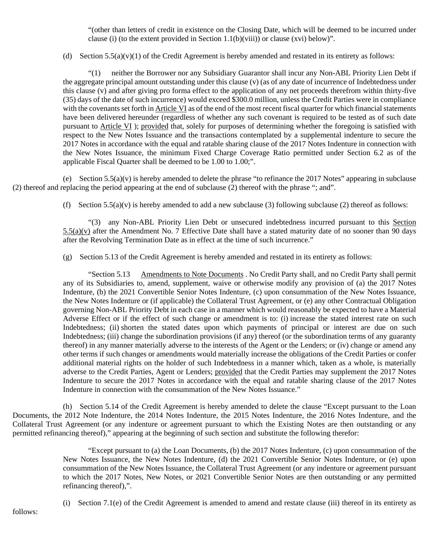"(other than letters of credit in existence on the Closing Date, which will be deemed to be incurred under clause (i) (to the extent provided in Section 1.1(b)(viii)) or clause (xvi) below)".

(d) Section  $5.5(a)(v)(1)$  of the Credit Agreement is hereby amended and restated in its entirety as follows:

"(1) neither the Borrower nor any Subsidiary Guarantor shall incur any Non-ABL Priority Lien Debt if the aggregate principal amount outstanding under this clause (v) (as of any date of incurrence of Indebtedness under this clause (v) and after giving pro forma effect to the application of any net proceeds therefrom within thirty-five (35) days of the date of such incurrence) would exceed \$300.0 million, unless the Credit Parties were in compliance with the covenants set forth in Article VI as of the end of the most recent fiscal quarter for which financial statements have been delivered hereunder (regardless of whether any such covenant is required to be tested as of such date pursuant to Article VI ); provided that, solely for purposes of determining whether the foregoing is satisfied with respect to the New Notes Issuance and the transactions contemplated by a supplemental indenture to secure the 2017 Notes in accordance with the equal and ratable sharing clause of the 2017 Notes Indenture in connection with the New Notes Issuance, the minimum Fixed Charge Coverage Ratio permitted under Section 6.2 as of the applicable Fiscal Quarter shall be deemed to be 1.00 to 1.00;".

(e) Section  $5.5(a)(v)$  is hereby amended to delete the phrase "to refinance the 2017 Notes" appearing in subclause (2) thereof and replacing the period appearing at the end of subclause (2) thereof with the phrase "; and".

(f) Section  $5.5(a)(v)$  is hereby amended to add a new subclause (3) following subclause (2) thereof as follows:

"(3) any Non-ABL Priority Lien Debt or unsecured indebtedness incurred pursuant to this Section  $5.5(a)(v)$  after the Amendment No. 7 Effective Date shall have a stated maturity date of no sooner than 90 days after the Revolving Termination Date as in effect at the time of such incurrence."

(g) Section 5.13 of the Credit Agreement is hereby amended and restated in its entirety as follows:

"Section 5.13 Amendments to Note Documents . No Credit Party shall, and no Credit Party shall permit any of its Subsidiaries to, amend, supplement, waive or otherwise modify any provision of (a) the 2017 Notes Indenture, (b) the 2021 Convertible Senior Notes Indenture, (c) upon consummation of the New Notes Issuance, the New Notes Indenture or (if applicable) the Collateral Trust Agreement, or (e) any other Contractual Obligation governing Non-ABL Priority Debt in each case in a manner which would reasonably be expected to have a Material Adverse Effect or if the effect of such change or amendment is to: (i) increase the stated interest rate on such Indebtedness; (ii) shorten the stated dates upon which payments of principal or interest are due on such Indebtedness; (iii) change the subordination provisions (if any) thereof (or the subordination terms of any guaranty thereof) in any manner materially adverse to the interests of the Agent or the Lenders; or (iv) change or amend any other terms if such changes or amendments would materially increase the obligations of the Credit Parties or confer additional material rights on the holder of such Indebtedness in a manner which, taken as a whole, is materially adverse to the Credit Parties, Agent or Lenders; provided that the Credit Parties may supplement the 2017 Notes Indenture to secure the 2017 Notes in accordance with the equal and ratable sharing clause of the 2017 Notes Indenture in connection with the consummation of the New Notes Issuance."

(h) Section 5.14 of the Credit Agreement is hereby amended to delete the clause "Except pursuant to the Loan Documents, the 2012 Note Indenture, the 2014 Notes Indenture, the 2015 Notes Indenture, the 2016 Notes Indenture, and the Collateral Trust Agreement (or any indenture or agreement pursuant to which the Existing Notes are then outstanding or any permitted refinancing thereof)," appearing at the beginning of such section and substitute the following therefor:

> "Except pursuant to (a) the Loan Documents, (b) the 2017 Notes Indenture, (c) upon consummation of the New Notes Issuance, the New Notes Indenture, (d) the 2021 Convertible Senior Notes Indenture, or (e) upon consummation of the New Notes Issuance, the Collateral Trust Agreement (or any indenture or agreement pursuant to which the 2017 Notes, New Notes, or 2021 Convertible Senior Notes are then outstanding or any permitted refinancing thereof),".

follows:

(i) Section 7.1(e) of the Credit Agreement is amended to amend and restate clause (iii) thereof in its entirety as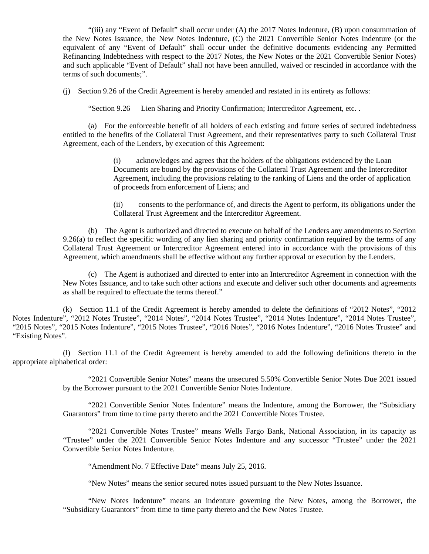"(iii) any "Event of Default" shall occur under (A) the 2017 Notes Indenture, (B) upon consummation of the New Notes Issuance, the New Notes Indenture, (C) the 2021 Convertible Senior Notes Indenture (or the equivalent of any "Event of Default" shall occur under the definitive documents evidencing any Permitted Refinancing Indebtedness with respect to the 2017 Notes, the New Notes or the 2021 Convertible Senior Notes) and such applicable "Event of Default" shall not have been annulled, waived or rescinded in accordance with the terms of such documents;".

(j) Section 9.26 of the Credit Agreement is hereby amended and restated in its entirety as follows:

"Section 9.26 Lien Sharing and Priority Confirmation; Intercreditor Agreement, etc. .

(a) For the enforceable benefit of all holders of each existing and future series of secured indebtedness entitled to the benefits of the Collateral Trust Agreement, and their representatives party to such Collateral Trust Agreement, each of the Lenders, by execution of this Agreement:

> (i) acknowledges and agrees that the holders of the obligations evidenced by the Loan Documents are bound by the provisions of the Collateral Trust Agreement and the Intercreditor Agreement, including the provisions relating to the ranking of Liens and the order of application of proceeds from enforcement of Liens; and

(ii) consents to the performance of, and directs the Agent to perform, its obligations under the Collateral Trust Agreement and the Intercreditor Agreement.

(b) The Agent is authorized and directed to execute on behalf of the Lenders any amendments to Section 9.26(a) to reflect the specific wording of any lien sharing and priority confirmation required by the terms of any Collateral Trust Agreement or Intercreditor Agreement entered into in accordance with the provisions of this Agreement, which amendments shall be effective without any further approval or execution by the Lenders.

(c) The Agent is authorized and directed to enter into an Intercreditor Agreement in connection with the New Notes Issuance, and to take such other actions and execute and deliver such other documents and agreements as shall be required to effectuate the terms thereof."

(k) Section 11.1 of the Credit Agreement is hereby amended to delete the definitions of "2012 Notes", "2012 Notes Indenture", "2012 Notes Trustee", "2014 Notes", "2014 Notes Trustee", "2014 Notes Indenture", "2014 Notes Trustee", "2015 Notes", "2015 Notes Indenture", "2015 Notes Trustee", "2016 Notes", "2016 Notes Indenture", "2016 Notes Trustee" and "Existing Notes".

(l) Section 11.1 of the Credit Agreement is hereby amended to add the following definitions thereto in the appropriate alphabetical order:

> "2021 Convertible Senior Notes" means the unsecured 5.50% Convertible Senior Notes Due 2021 issued by the Borrower pursuant to the 2021 Convertible Senior Notes Indenture.

> "2021 Convertible Senior Notes Indenture" means the Indenture, among the Borrower, the "Subsidiary Guarantors" from time to time party thereto and the 2021 Convertible Notes Trustee.

> "2021 Convertible Notes Trustee" means Wells Fargo Bank, National Association, in its capacity as "Trustee" under the 2021 Convertible Senior Notes Indenture and any successor "Trustee" under the 2021 Convertible Senior Notes Indenture.

"Amendment No. 7 Effective Date" means July 25, 2016.

"New Notes" means the senior secured notes issued pursuant to the New Notes Issuance.

"New Notes Indenture" means an indenture governing the New Notes, among the Borrower, the "Subsidiary Guarantors" from time to time party thereto and the New Notes Trustee.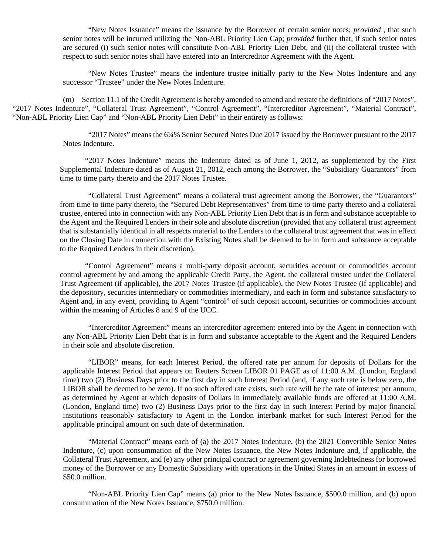"New Notes Issuance" means the issuance by the Borrower of certain senior notes; *provided* , that such senior notes will be incurred utilizing the Non-ABL Priority Lien Cap; *provided* further that, if such senior notes are secured (i) such senior notes will constitute Non-ABL Priority Lien Debt, and (ii) the collateral trustee with respect to such senior notes shall have entered into an Intercreditor Agreement with the Agent.

"New Notes Trustee" means the indenture trustee initially party to the New Notes Indenture and any successor "Trustee" under the New Notes Indenture.

(m) Section 11.1 of the Credit Agreement is hereby amended to amend and restate the definitions of "2017 Notes", "2017 Notes Indenture", "Collateral Trust Agreement", "Control Agreement", "Intercreditor Agreement", "Material Contract", "Non-ABL Priority Lien Cap" and "Non-ABL Priority Lien Debt" in their entirety as follows:

> "2017 Notes" means the 6¼% Senior Secured Notes Due 2017 issued by the Borrower pursuant to the 2017 Notes Indenture.

> "2017 Notes Indenture" means the Indenture dated as of June 1, 2012, as supplemented by the First Supplemental Indenture dated as of August 21, 2012, each among the Borrower, the "Subsidiary Guarantors" from time to time party thereto and the 2017 Notes Trustee.

> "Collateral Trust Agreement" means a collateral trust agreement among the Borrower, the "Guarantors" from time to time party thereto, the "Secured Debt Representatives" from time to time party thereto and a collateral trustee, entered into in connection with any Non-ABL Priority Lien Debt that is in form and substance acceptable to the Agent and the Required Lenders in their sole and absolute discretion (provided that any collateral trust agreement that is substantially identical in all respects material to the Lenders to the collateral trust agreement that was in effect on the Closing Date in connection with the Existing Notes shall be deemed to be in form and substance acceptable to the Required Lenders in their discretion).

> "Control Agreement" means a multi-party deposit account, securities account or commodities account control agreement by and among the applicable Credit Party, the Agent, the collateral trustee under the Collateral Trust Agreement (if applicable), the 2017 Notes Trustee (if applicable), the New Notes Trustee (if applicable) and the depository, securities intermediary or commodities intermediary, and each in form and substance satisfactory to Agent and, in any event, providing to Agent "control" of such deposit account, securities or commodities account within the meaning of Articles 8 and 9 of the UCC.

> "Intercreditor Agreement" means an intercreditor agreement entered into by the Agent in connection with any Non-ABL Priority Lien Debt that is in form and substance acceptable to the Agent and the Required Lenders in their sole and absolute discretion.

> "LIBOR" means, for each Interest Period, the offered rate per annum for deposits of Dollars for the applicable Interest Period that appears on Reuters Screen LIBOR 01 PAGE as of 11:00 A.M. (London, England time) two (2) Business Days prior to the first day in such Interest Period (and, if any such rate is below zero, the LIBOR shall be deemed to be zero). If no such offered rate exists, such rate will be the rate of interest per annum, as determined by Agent at which deposits of Dollars in immediately available funds are offered at 11:00 A.M. (London, England time) two (2) Business Days prior to the first day in such Interest Period by major financial institutions reasonably satisfactory to Agent in the London interbank market for such Interest Period for the applicable principal amount on such date of determination.

> "Material Contract" means each of (a) the 2017 Notes Indenture, (b) the 2021 Convertible Senior Notes Indenture, (c) upon consummation of the New Notes Issuance, the New Notes Indenture and, if applicable, the Collateral Trust Agreement, and (e) any other principal contract or agreement governing Indebtedness for borrowed money of the Borrower or any Domestic Subsidiary with operations in the United States in an amount in excess of \$50.0 million.

> "Non-ABL Priority Lien Cap" means (a) prior to the New Notes Issuance, \$500.0 million, and (b) upon consummation of the New Notes Issuance, \$750.0 million.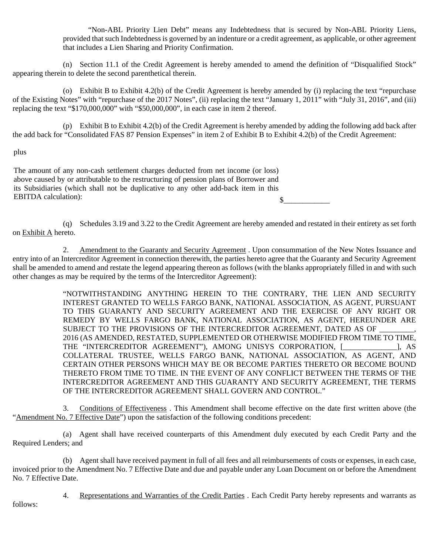"Non-ABL Priority Lien Debt" means any Indebtedness that is secured by Non-ABL Priority Liens, provided that such Indebtedness is governed by an indenture or a credit agreement, as applicable, or other agreement that includes a Lien Sharing and Priority Confirmation.

(n) Section 11.1 of the Credit Agreement is hereby amended to amend the definition of "Disqualified Stock" appearing therein to delete the second parenthetical therein.

(o) Exhibit B to Exhibit 4.2(b) of the Credit Agreement is hereby amended by (i) replacing the text "repurchase of the Existing Notes" with "repurchase of the 2017 Notes", (ii) replacing the text "January 1, 2011" with "July 31, 2016", and (iii) replacing the text "\$170,000,000" with "\$50,000,000", in each case in item 2 thereof.

(p) Exhibit B to Exhibit 4.2(b) of the Credit Agreement is hereby amended by adding the following add back after the add back for "Consolidated FAS 87 Pension Expenses" in item 2 of Exhibit B to Exhibit 4.2(b) of the Credit Agreement:

plus

The amount of any non-cash settlement charges deducted from net income (or loss) above caused by or attributable to the restructuring of pension plans of Borrower and its Subsidiaries (which shall not be duplicative to any other add-back item in this EBITDA calculation):  $\qquad \qquad$ 

(q) Schedules 3.19 and 3.22 to the Credit Agreement are hereby amended and restated in their entirety as set forth on Exhibit A hereto.

2. Amendment to the Guaranty and Security Agreement . Upon consummation of the New Notes Issuance and entry into of an Intercreditor Agreement in connection therewith, the parties hereto agree that the Guaranty and Security Agreement shall be amended to amend and restate the legend appearing thereon as follows (with the blanks appropriately filled in and with such other changes as may be required by the terms of the Intercreditor Agreement):

> "NOTWITHSTANDING ANYTHING HEREIN TO THE CONTRARY, THE LIEN AND SECURITY INTEREST GRANTED TO WELLS FARGO BANK, NATIONAL ASSOCIATION, AS AGENT, PURSUANT TO THIS GUARANTY AND SECURITY AGREEMENT AND THE EXERCISE OF ANY RIGHT OR REMEDY BY WELLS FARGO BANK, NATIONAL ASSOCIATION, AS AGENT, HEREUNDER ARE SUBJECT TO THE PROVISIONS OF THE INTERCREDITOR AGREEMENT, DATED AS OF 2016 (AS AMENDED, RESTATED, SUPPLEMENTED OR OTHERWISE MODIFIED FROM TIME TO TIME, THE "INTERCREDITOR AGREEMENT"), AMONG UNISYS CORPORATION, [ ], AS COLLATERAL TRUSTEE, WELLS FARGO BANK, NATIONAL ASSOCIATION, AS AGENT, AND CERTAIN OTHER PERSONS WHICH MAY BE OR BECOME PARTIES THERETO OR BECOME BOUND THERETO FROM TIME TO TIME. IN THE EVENT OF ANY CONFLICT BETWEEN THE TERMS OF THE INTERCREDITOR AGREEMENT AND THIS GUARANTY AND SECURITY AGREEMENT, THE TERMS OF THE INTERCREDITOR AGREEMENT SHALL GOVERN AND CONTROL."

3. Conditions of Effectiveness . This Amendment shall become effective on the date first written above (the "Amendment No. 7 Effective Date") upon the satisfaction of the following conditions precedent:

(a) Agent shall have received counterparts of this Amendment duly executed by each Credit Party and the Required Lenders; and

(b) Agent shall have received payment in full of all fees and all reimbursements of costs or expenses, in each case, invoiced prior to the Amendment No. 7 Effective Date and due and payable under any Loan Document on or before the Amendment No. 7 Effective Date.

4. Representations and Warranties of the Credit Parties . Each Credit Party hereby represents and warrants as follows: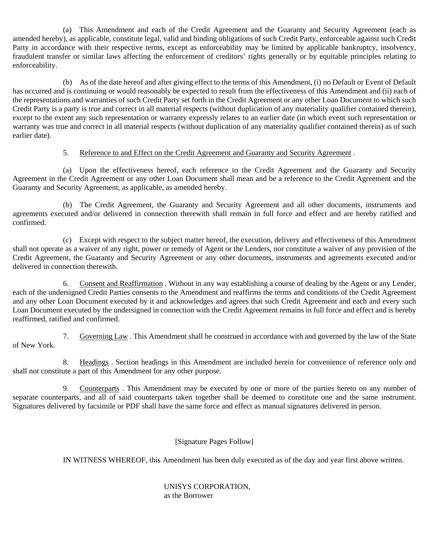(a) This Amendment and each of the Credit Agreement and the Guaranty and Security Agreement (each as amended hereby), as applicable, constitute legal, valid and binding obligations of such Credit Party, enforceable against such Credit Party in accordance with their respective terms, except as enforceability may be limited by applicable bankruptcy, insolvency, fraudulent transfer or similar laws affecting the enforcement of creditors' rights generally or by equitable principles relating to enforceability.

(b) As of the date hereof and after giving effect to the terms of this Amendment, (i) no Default or Event of Default has occurred and is continuing or would reasonably be expected to result from the effectiveness of this Amendment and (ii) each of the representations and warranties of such Credit Party set forth in the Credit Agreement or any other Loan Document to which such Credit Party is a party is true and correct in all material respects (without duplication of any materiality qualifier contained therein), except to the extent any such representation or warranty expressly relates to an earlier date (in which event such representation or warranty was true and correct in all material respects (without duplication of any materiality qualifier contained therein) as of such earlier date).

# 5. Reference to and Effect on the Credit Agreement and Guaranty and Security Agreement .

(a) Upon the effectiveness hereof, each reference to the Credit Agreement and the Guaranty and Security Agreement in the Credit Agreement or any other Loan Document shall mean and be a reference to the Credit Agreement and the Guaranty and Security Agreement, as applicable, as amended hereby.

(b) The Credit Agreement, the Guaranty and Security Agreement and all other documents, instruments and agreements executed and/or delivered in connection therewith shall remain in full force and effect and are hereby ratified and confirmed.

(c) Except with respect to the subject matter hereof, the execution, delivery and effectiveness of this Amendment shall not operate as a waiver of any right, power or remedy of Agent or the Lenders, nor constitute a waiver of any provision of the Credit Agreement, the Guaranty and Security Agreement or any other documents, instruments and agreements executed and/or delivered in connection therewith.

6. Consent and Reaffirmation . Without in any way establishing a course of dealing by the Agent or any Lender, each of the undersigned Credit Parties consents to the Amendment and reaffirms the terms and conditions of the Credit Agreement and any other Loan Document executed by it and acknowledges and agrees that such Credit Agreement and each and every such Loan Document executed by the undersigned in connection with the Credit Agreement remains in full force and effect and is hereby reaffirmed, ratified and confirmed.

7. Governing Law . This Amendment shall be construed in accordance with and governed by the law of the State of New York.

8. Headings . Section headings in this Amendment are included herein for convenience of reference only and shall not constitute a part of this Amendment for any other purpose.

9. Counterparts . This Amendment may be executed by one or more of the parties hereto on any number of separate counterparts, and all of said counterparts taken together shall be deemed to constitute one and the same instrument. Signatures delivered by facsimile or PDF shall have the same force and effect as manual signatures delivered in person.

# [Signature Pages Follow]

IN WITNESS WHEREOF, this Amendment has been duly executed as of the day and year first above written.

# UNISYS CORPORATION, as the Borrower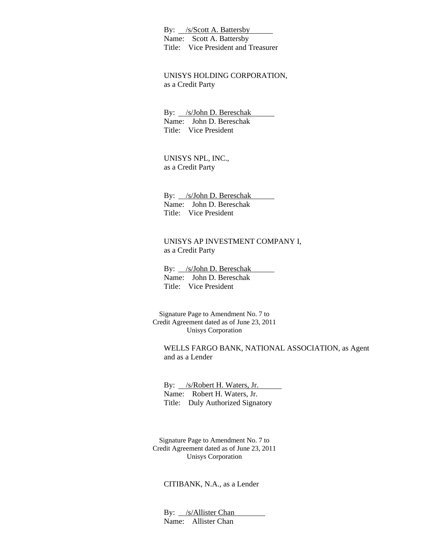By: /s/Scott A. Battersby Name: Scott A. Battersby Title: Vice President and Treasurer

UNISYS HOLDING CORPORATION, as a Credit Party

By: <u>/s/John D. Bereschak</u> Name: John D. Bereschak Title: Vice President

UNISYS NPL, INC., as a Credit Party

By: /s/John D. Bereschak Name: John D. Bereschak Title: Vice President

# UNISYS AP INVESTMENT COMPANY I, as a Credit Party

By: /s/John D. Bereschak Name: John D. Bereschak Title: Vice President

Signature Page to Amendment No. 7 to Credit Agreement dated as of June 23, 2011 Unisys Corporation

WELLS FARGO BANK, NATIONAL ASSOCIATION, as Agent and as a Lender

By: /s/Robert H. Waters, Jr. Name: Robert H. Waters, Jr. Title: Duly Authorized Signatory

Signature Page to Amendment No. 7 to Credit Agreement dated as of June 23, 2011 Unisys Corporation

CITIBANK, N.A., as a Lender

By: /s/Allister Chan Name: Allister Chan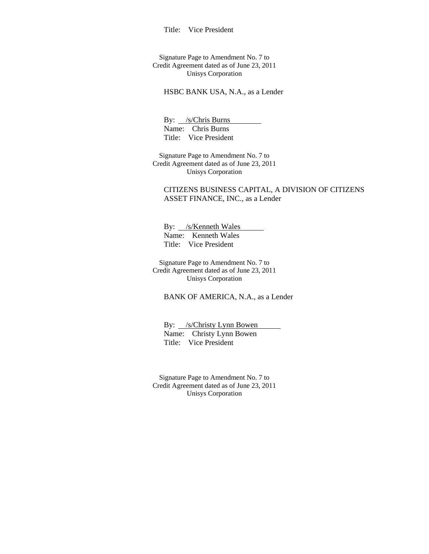Title: Vice President

Signature Page to Amendment No. 7 to Credit Agreement dated as of June 23, 2011 Unisys Corporation

HSBC BANK USA, N.A., as a Lender

By: /s/Chris Burns Name: Chris Burns Title: Vice President

Signature Page to Amendment No. 7 to Credit Agreement dated as of June 23, 2011 Unisys Corporation

# CITIZENS BUSINESS CAPITAL, A DIVISION OF CITIZENS ASSET FINANCE, INC., as a Lender

By: /s/Kenneth Wales Name: Kenneth Wales Title: Vice President

Signature Page to Amendment No. 7 to Credit Agreement dated as of June 23, 2011 Unisys Corporation

BANK OF AMERICA, N.A., as a Lender

By: <u>/s/Christy Lynn Bowen</u> Name: Christy Lynn Bowen Title: Vice President

Signature Page to Amendment No. 7 to Credit Agreement dated as of June 23, 2011 Unisys Corporation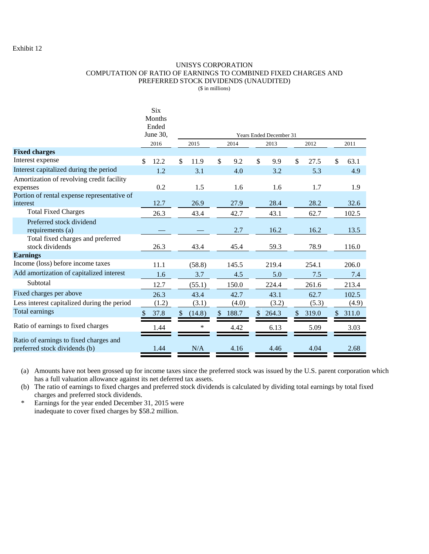#### Exhibit 12

#### UNISYS CORPORATION COMPUTATION OF RATIO OF EARNINGS TO COMBINED FIXED CHARGES AND PREFERRED STOCK DIVIDENDS (UNAUDITED) (\$ in millions)

 Six **Months** Ended June 30, Years Ended December 31 2016 2015 2014 2013 2012 2011 **Fixed charges** Interest expense  $\begin{array}{ccccccccccccc}\n\text{S} & 12.2 & \text{S} & 11.9 & \text{S} & 9.2 & \text{S} & 9.9 & \text{S} & 27.5 & \text{S} & 63.1\n\end{array}$ Interest capitalized during the period 1.2 3.1 4.0 3.2 5.3 4.9 Amortization of revolving credit facility expenses 0.2 1.5 1.6 1.6 1.7 1.9 Portion of rental expense representative of interest 12.7 26.9 27.9 28.4 28.2 32.6 Total Fixed Charges 26.3 43.4 42.7 43.1 62.7 102.5 Preferred stock dividend requirements (a)  $2.7$  16.2 16.2 13.5 Total fixed charges and preferred stock dividends 26.3 43.4 45.4 59.3 78.9 116.0 **Earnings** Income (loss) before income taxes 11.1 (58.8) 145.5 219.4 254.1 206.0 Add amortization of capitalized interest 1.6 3.7 4.5 5.0 7.5 7.4 Subtotal 12.7 (55.1) 150.0 224.4 261.6 213.4 Fixed charges per above 26.3 43.4 42.7 43.1 62.7 102.5 Less interest capitalized during the period  $(1.2)$   $(3.1)$   $(4.0)$   $(3.2)$   $(5.3)$   $(4.9)$ Total earnings \$ 37.8 \$ (14.8) \$ 188.7 \$ 264.3 \$ 319.0 \$ 311.0 Ratio of earnings to fixed charges 1.44 \* 4.42 6.13 5.09 3.03 Ratio of earnings to fixed charges and preferred stock dividends (b)  $1.44$  N/A  $4.16$   $4.46$   $4.04$   $2.68$ 

(a) Amounts have not been grossed up for income taxes since the preferred stock was issued by the U.S. parent corporation which has a full valuation allowance against its net deferred tax assets.

(b) The ratio of earnings to fixed charges and preferred stock dividends is calculated by dividing total earnings by total fixed charges and preferred stock dividends.

\* Earnings for the year ended December 31, 2015 were inadequate to cover fixed charges by \$58.2 million.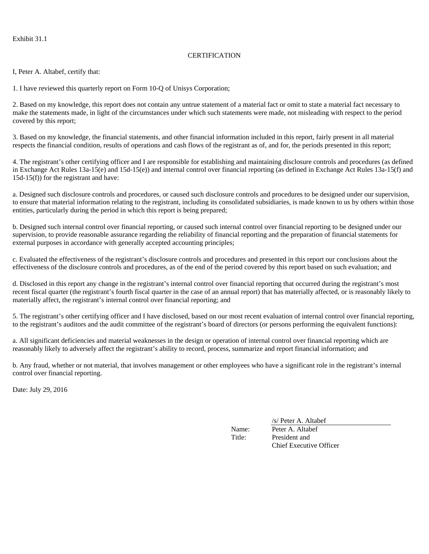Exhibit 31.1

#### **CERTIFICATION**

I, Peter A. Altabef, certify that:

1. I have reviewed this quarterly report on Form 10-Q of Unisys Corporation;

2. Based on my knowledge, this report does not contain any untrue statement of a material fact or omit to state a material fact necessary to make the statements made, in light of the circumstances under which such statements were made, not misleading with respect to the period covered by this report;

3. Based on my knowledge, the financial statements, and other financial information included in this report, fairly present in all material respects the financial condition, results of operations and cash flows of the registrant as of, and for, the periods presented in this report;

4. The registrant's other certifying officer and I are responsible for establishing and maintaining disclosure controls and procedures (as defined in Exchange Act Rules 13a-15(e) and 15d-15(e)) and internal control over financial reporting (as defined in Exchange Act Rules 13a-15(f) and 15d-15(f)) for the registrant and have:

a. Designed such disclosure controls and procedures, or caused such disclosure controls and procedures to be designed under our supervision, to ensure that material information relating to the registrant, including its consolidated subsidiaries, is made known to us by others within those entities, particularly during the period in which this report is being prepared;

b. Designed such internal control over financial reporting, or caused such internal control over financial reporting to be designed under our supervision, to provide reasonable assurance regarding the reliability of financial reporting and the preparation of financial statements for external purposes in accordance with generally accepted accounting principles;

c. Evaluated the effectiveness of the registrant's disclosure controls and procedures and presented in this report our conclusions about the effectiveness of the disclosure controls and procedures, as of the end of the period covered by this report based on such evaluation; and

d. Disclosed in this report any change in the registrant's internal control over financial reporting that occurred during the registrant's most recent fiscal quarter (the registrant's fourth fiscal quarter in the case of an annual report) that has materially affected, or is reasonably likely to materially affect, the registrant's internal control over financial reporting; and

5. The registrant's other certifying officer and I have disclosed, based on our most recent evaluation of internal control over financial reporting, to the registrant's auditors and the audit committee of the registrant's board of directors (or persons performing the equivalent functions):

a. All significant deficiencies and material weaknesses in the design or operation of internal control over financial reporting which are reasonably likely to adversely affect the registrant's ability to record, process, summarize and report financial information; and

b. Any fraud, whether or not material, that involves management or other employees who have a significant role in the registrant's internal control over financial reporting.

Date: July 29, 2016

/s/ Peter A. Altabef

Name: Peter A. Altabef Title: President and Chief Executive Officer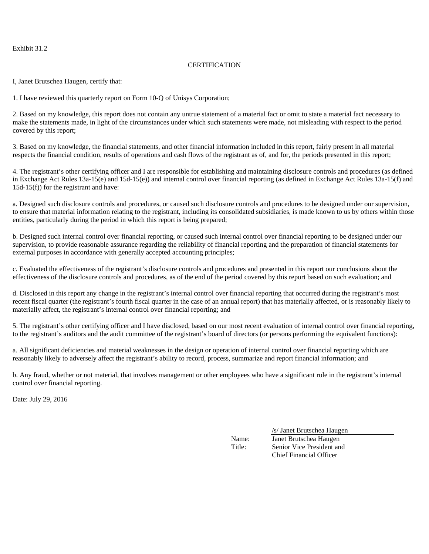Exhibit 31.2

#### **CERTIFICATION**

I, Janet Brutschea Haugen, certify that:

1. I have reviewed this quarterly report on Form 10-Q of Unisys Corporation;

2. Based on my knowledge, this report does not contain any untrue statement of a material fact or omit to state a material fact necessary to make the statements made, in light of the circumstances under which such statements were made, not misleading with respect to the period covered by this report;

3. Based on my knowledge, the financial statements, and other financial information included in this report, fairly present in all material respects the financial condition, results of operations and cash flows of the registrant as of, and for, the periods presented in this report;

4. The registrant's other certifying officer and I are responsible for establishing and maintaining disclosure controls and procedures (as defined in Exchange Act Rules 13a-15(e) and 15d-15(e)) and internal control over financial reporting (as defined in Exchange Act Rules 13a-15(f) and 15d-15(f)) for the registrant and have:

a. Designed such disclosure controls and procedures, or caused such disclosure controls and procedures to be designed under our supervision, to ensure that material information relating to the registrant, including its consolidated subsidiaries, is made known to us by others within those entities, particularly during the period in which this report is being prepared;

b. Designed such internal control over financial reporting, or caused such internal control over financial reporting to be designed under our supervision, to provide reasonable assurance regarding the reliability of financial reporting and the preparation of financial statements for external purposes in accordance with generally accepted accounting principles;

c. Evaluated the effectiveness of the registrant's disclosure controls and procedures and presented in this report our conclusions about the effectiveness of the disclosure controls and procedures, as of the end of the period covered by this report based on such evaluation; and

d. Disclosed in this report any change in the registrant's internal control over financial reporting that occurred during the registrant's most recent fiscal quarter (the registrant's fourth fiscal quarter in the case of an annual report) that has materially affected, or is reasonably likely to materially affect, the registrant's internal control over financial reporting; and

5. The registrant's other certifying officer and I have disclosed, based on our most recent evaluation of internal control over financial reporting, to the registrant's auditors and the audit committee of the registrant's board of directors (or persons performing the equivalent functions):

a. All significant deficiencies and material weaknesses in the design or operation of internal control over financial reporting which are reasonably likely to adversely affect the registrant's ability to record, process, summarize and report financial information; and

b. Any fraud, whether or not material, that involves management or other employees who have a significant role in the registrant's internal control over financial reporting.

Date: July 29, 2016

/s/ Janet Brutschea Haugen

Name: Janet Brutschea Haugen Title: Senior Vice President and Chief Financial Officer